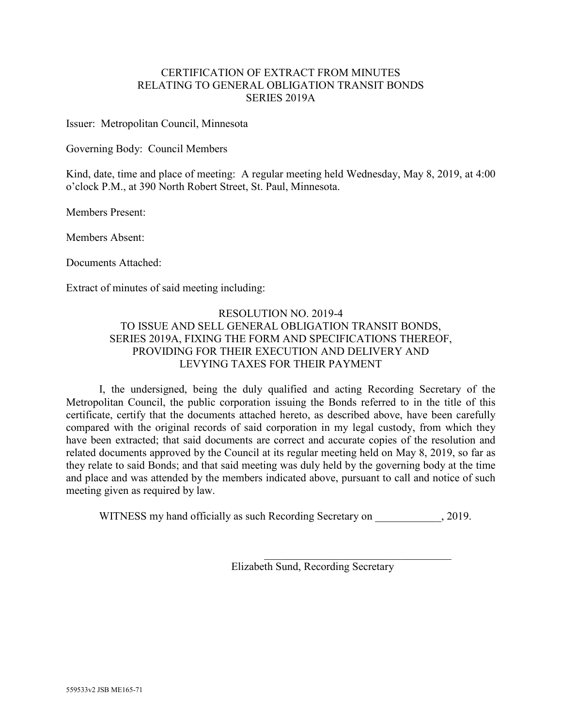# CERTIFICATION OF EXTRACT FROM MINUTES RELATING TO GENERAL OBLIGATION TRANSIT BONDS SERIES 2019A

Issuer: Metropolitan Council, Minnesota

Governing Body: Council Members

Kind, date, time and place of meeting: A regular meeting held Wednesday, May 8, 2019, at 4:00 o'clock P.M., at 390 North Robert Street, St. Paul, Minnesota.

Members Present:

Members Absent:

Documents Attached:

Extract of minutes of said meeting including:

# RESOLUTION NO. 2019-4 TO ISSUE AND SELL GENERAL OBLIGATION TRANSIT BONDS, SERIES 2019A, FIXING THE FORM AND SPECIFICATIONS THEREOF, PROVIDING FOR THEIR EXECUTION AND DELIVERY AND LEVYING TAXES FOR THEIR PAYMENT

I, the undersigned, being the duly qualified and acting Recording Secretary of the Metropolitan Council, the public corporation issuing the Bonds referred to in the title of this certificate, certify that the documents attached hereto, as described above, have been carefully compared with the original records of said corporation in my legal custody, from which they have been extracted; that said documents are correct and accurate copies of the resolution and related documents approved by the Council at its regular meeting held on May 8, 2019, so far as they relate to said Bonds; and that said meeting was duly held by the governing body at the time and place and was attended by the members indicated above, pursuant to call and notice of such meeting given as required by law.

WITNESS my hand officially as such Recording Secretary on  $, 2019$ .

 $\mathcal{L}_\mathcal{L}$  , which is a set of the set of the set of the set of the set of the set of the set of the set of the set of the set of the set of the set of the set of the set of the set of the set of the set of the set of Elizabeth Sund, Recording Secretary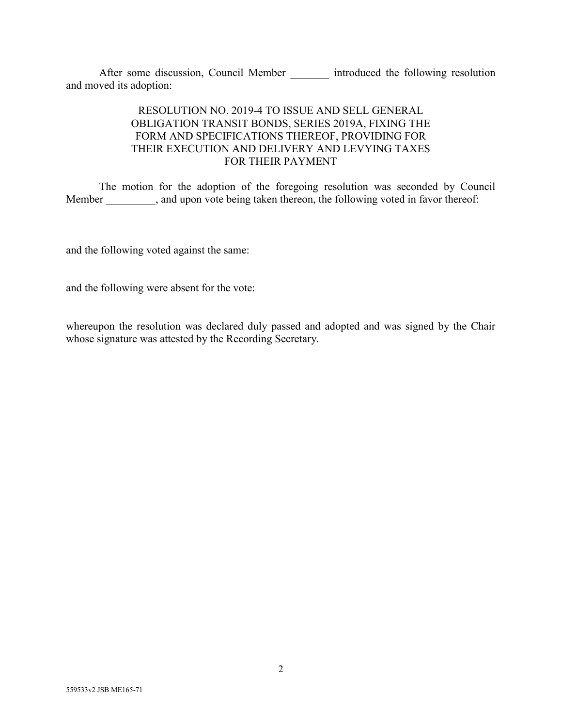After some discussion, Council Member \_\_\_\_\_\_\_ introduced the following resolution and moved its adoption:

# RESOLUTION NO. 2019-4 TO ISSUE AND SELL GENERAL OBLIGATION TRANSIT BONDS, SERIES 2019A, FIXING THE FORM AND SPECIFICATIONS THEREOF, PROVIDING FOR THEIR EXECUTION AND DELIVERY AND LEVYING TAXES FOR THEIR PAYMENT

The motion for the adoption of the foregoing resolution was seconded by Council Member \_\_\_\_\_\_\_, and upon vote being taken thereon, the following voted in favor thereof:

and the following voted against the same:

and the following were absent for the vote:

whereupon the resolution was declared duly passed and adopted and was signed by the Chair whose signature was attested by the Recording Secretary.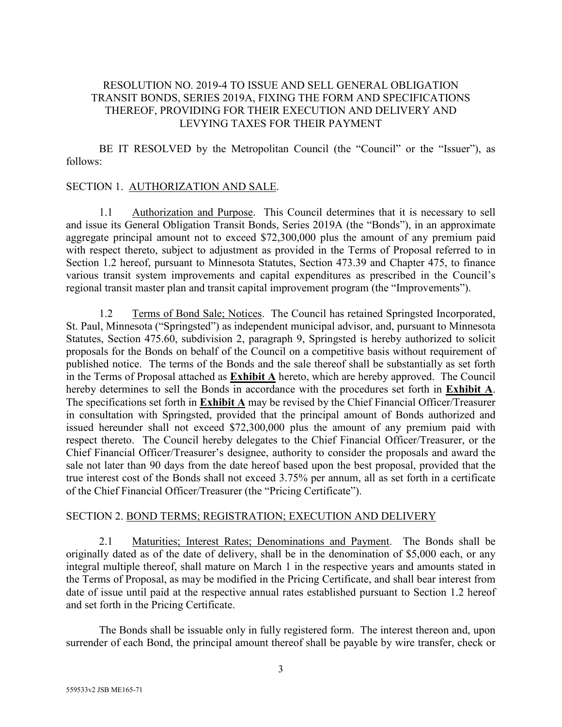# RESOLUTION NO. 2019-4 TO ISSUE AND SELL GENERAL OBLIGATION TRANSIT BONDS, SERIES 2019A, FIXING THE FORM AND SPECIFICATIONS THEREOF, PROVIDING FOR THEIR EXECUTION AND DELIVERY AND LEVYING TAXES FOR THEIR PAYMENT

BE IT RESOLVED by the Metropolitan Council (the "Council" or the "Issuer"), as follows:

# SECTION 1. AUTHORIZATION AND SALE.

1.1 Authorization and Purpose. This Council determines that it is necessary to sell and issue its General Obligation Transit Bonds, Series 2019A (the "Bonds"), in an approximate aggregate principal amount not to exceed \$72,300,000 plus the amount of any premium paid with respect thereto, subject to adjustment as provided in the Terms of Proposal referred to in Section 1.2 hereof, pursuant to Minnesota Statutes, Section 473.39 and Chapter 475, to finance various transit system improvements and capital expenditures as prescribed in the Council's regional transit master plan and transit capital improvement program (the "Improvements").

1.2 Terms of Bond Sale; Notices. The Council has retained Springsted Incorporated, St. Paul, Minnesota ("Springsted") as independent municipal advisor, and, pursuant to Minnesota Statutes, Section 475.60, subdivision 2, paragraph 9, Springsted is hereby authorized to solicit proposals for the Bonds on behalf of the Council on a competitive basis without requirement of published notice. The terms of the Bonds and the sale thereof shall be substantially as set forth in the Terms of Proposal attached as **Exhibit A** hereto, which are hereby approved. The Council hereby determines to sell the Bonds in accordance with the procedures set forth in **Exhibit A**. The specifications set forth in **Exhibit A** may be revised by the Chief Financial Officer/Treasurer in consultation with Springsted, provided that the principal amount of Bonds authorized and issued hereunder shall not exceed \$72,300,000 plus the amount of any premium paid with respect thereto. The Council hereby delegates to the Chief Financial Officer/Treasurer, or the Chief Financial Officer/Treasurer's designee, authority to consider the proposals and award the sale not later than 90 days from the date hereof based upon the best proposal, provided that the true interest cost of the Bonds shall not exceed 3.75% per annum, all as set forth in a certificate of the Chief Financial Officer/Treasurer (the "Pricing Certificate").

## SECTION 2. BOND TERMS; REGISTRATION; EXECUTION AND DELIVERY

2.1 Maturities; Interest Rates; Denominations and Payment. The Bonds shall be originally dated as of the date of delivery, shall be in the denomination of \$5,000 each, or any integral multiple thereof, shall mature on March 1 in the respective years and amounts stated in the Terms of Proposal, as may be modified in the Pricing Certificate, and shall bear interest from date of issue until paid at the respective annual rates established pursuant to Section 1.2 hereof and set forth in the Pricing Certificate.

The Bonds shall be issuable only in fully registered form. The interest thereon and, upon surrender of each Bond, the principal amount thereof shall be payable by wire transfer, check or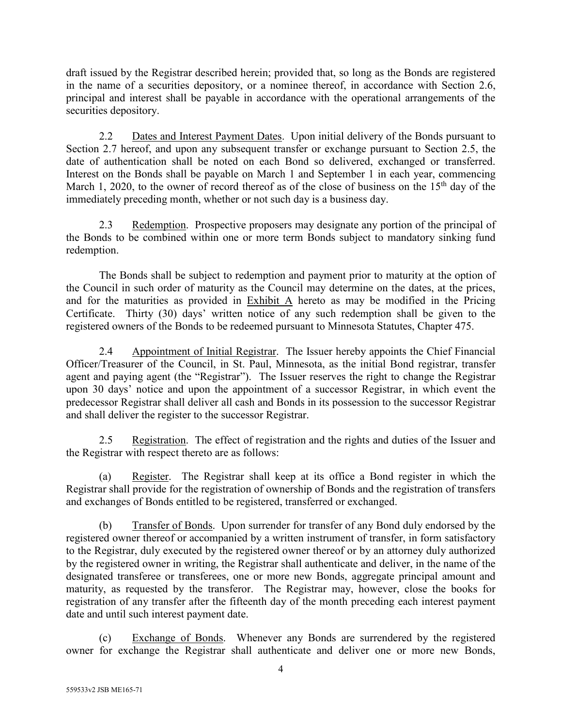draft issued by the Registrar described herein; provided that, so long as the Bonds are registered in the name of a securities depository, or a nominee thereof, in accordance with Section 2.6, principal and interest shall be payable in accordance with the operational arrangements of the securities depository.

2.2 Dates and Interest Payment Dates. Upon initial delivery of the Bonds pursuant to Section 2.7 hereof, and upon any subsequent transfer or exchange pursuant to Section 2.5, the date of authentication shall be noted on each Bond so delivered, exchanged or transferred. Interest on the Bonds shall be payable on March 1 and September 1 in each year, commencing March 1, 2020, to the owner of record thereof as of the close of business on the  $15<sup>th</sup>$  day of the immediately preceding month, whether or not such day is a business day.

2.3 Redemption. Prospective proposers may designate any portion of the principal of the Bonds to be combined within one or more term Bonds subject to mandatory sinking fund redemption.

The Bonds shall be subject to redemption and payment prior to maturity at the option of the Council in such order of maturity as the Council may determine on the dates, at the prices, and for the maturities as provided in Exhibit A hereto as may be modified in the Pricing Certificate. Thirty (30) days' written notice of any such redemption shall be given to the registered owners of the Bonds to be redeemed pursuant to Minnesota Statutes, Chapter 475.

2.4 Appointment of Initial Registrar. The Issuer hereby appoints the Chief Financial Officer/Treasurer of the Council, in St. Paul, Minnesota, as the initial Bond registrar, transfer agent and paying agent (the "Registrar"). The Issuer reserves the right to change the Registrar upon 30 days' notice and upon the appointment of a successor Registrar, in which event the predecessor Registrar shall deliver all cash and Bonds in its possession to the successor Registrar and shall deliver the register to the successor Registrar.

2.5 Registration. The effect of registration and the rights and duties of the Issuer and the Registrar with respect thereto are as follows:

(a) Register. The Registrar shall keep at its office a Bond register in which the Registrar shall provide for the registration of ownership of Bonds and the registration of transfers and exchanges of Bonds entitled to be registered, transferred or exchanged.

(b) Transfer of Bonds. Upon surrender for transfer of any Bond duly endorsed by the registered owner thereof or accompanied by a written instrument of transfer, in form satisfactory to the Registrar, duly executed by the registered owner thereof or by an attorney duly authorized by the registered owner in writing, the Registrar shall authenticate and deliver, in the name of the designated transferee or transferees, one or more new Bonds, aggregate principal amount and maturity, as requested by the transferor. The Registrar may, however, close the books for registration of any transfer after the fifteenth day of the month preceding each interest payment date and until such interest payment date.

(c) Exchange of Bonds. Whenever any Bonds are surrendered by the registered owner for exchange the Registrar shall authenticate and deliver one or more new Bonds,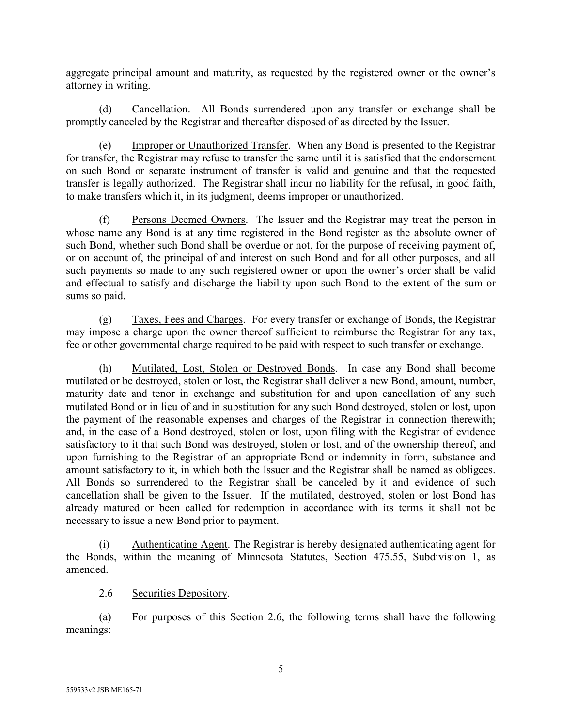aggregate principal amount and maturity, as requested by the registered owner or the owner's attorney in writing.

(d) Cancellation. All Bonds surrendered upon any transfer or exchange shall be promptly canceled by the Registrar and thereafter disposed of as directed by the Issuer.

(e) Improper or Unauthorized Transfer. When any Bond is presented to the Registrar for transfer, the Registrar may refuse to transfer the same until it is satisfied that the endorsement on such Bond or separate instrument of transfer is valid and genuine and that the requested transfer is legally authorized. The Registrar shall incur no liability for the refusal, in good faith, to make transfers which it, in its judgment, deems improper or unauthorized.

(f) Persons Deemed Owners. The Issuer and the Registrar may treat the person in whose name any Bond is at any time registered in the Bond register as the absolute owner of such Bond, whether such Bond shall be overdue or not, for the purpose of receiving payment of, or on account of, the principal of and interest on such Bond and for all other purposes, and all such payments so made to any such registered owner or upon the owner's order shall be valid and effectual to satisfy and discharge the liability upon such Bond to the extent of the sum or sums so paid.

(g) Taxes, Fees and Charges. For every transfer or exchange of Bonds, the Registrar may impose a charge upon the owner thereof sufficient to reimburse the Registrar for any tax, fee or other governmental charge required to be paid with respect to such transfer or exchange.

(h) Mutilated, Lost, Stolen or Destroyed Bonds. In case any Bond shall become mutilated or be destroyed, stolen or lost, the Registrar shall deliver a new Bond, amount, number, maturity date and tenor in exchange and substitution for and upon cancellation of any such mutilated Bond or in lieu of and in substitution for any such Bond destroyed, stolen or lost, upon the payment of the reasonable expenses and charges of the Registrar in connection therewith; and, in the case of a Bond destroyed, stolen or lost, upon filing with the Registrar of evidence satisfactory to it that such Bond was destroyed, stolen or lost, and of the ownership thereof, and upon furnishing to the Registrar of an appropriate Bond or indemnity in form, substance and amount satisfactory to it, in which both the Issuer and the Registrar shall be named as obligees. All Bonds so surrendered to the Registrar shall be canceled by it and evidence of such cancellation shall be given to the Issuer. If the mutilated, destroyed, stolen or lost Bond has already matured or been called for redemption in accordance with its terms it shall not be necessary to issue a new Bond prior to payment.

(i) Authenticating Agent. The Registrar is hereby designated authenticating agent for the Bonds, within the meaning of Minnesota Statutes, Section 475.55, Subdivision 1, as amended.

2.6 Securities Depository.

(a) For purposes of this Section 2.6, the following terms shall have the following meanings: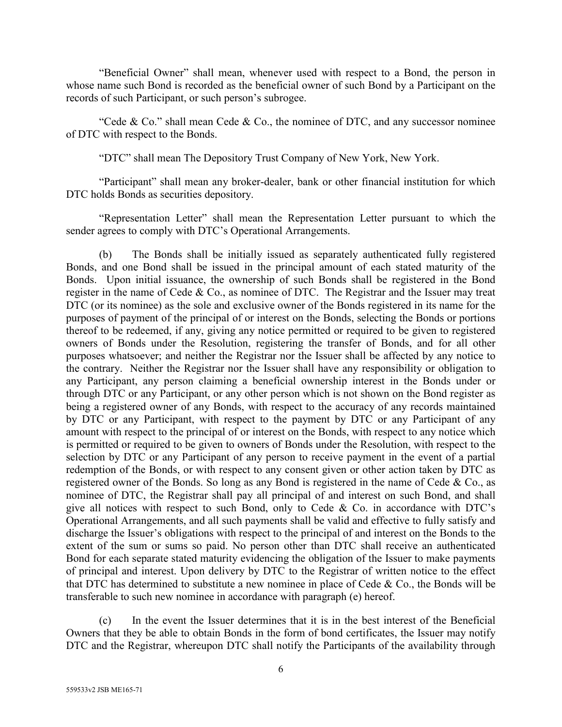"Beneficial Owner" shall mean, whenever used with respect to a Bond, the person in whose name such Bond is recorded as the beneficial owner of such Bond by a Participant on the records of such Participant, or such person's subrogee.

"Cede & Co." shall mean Cede & Co., the nominee of DTC, and any successor nominee of DTC with respect to the Bonds.

"DTC" shall mean The Depository Trust Company of New York, New York.

"Participant" shall mean any broker-dealer, bank or other financial institution for which DTC holds Bonds as securities depository.

"Representation Letter" shall mean the Representation Letter pursuant to which the sender agrees to comply with DTC's Operational Arrangements.

(b) The Bonds shall be initially issued as separately authenticated fully registered Bonds, and one Bond shall be issued in the principal amount of each stated maturity of the Bonds. Upon initial issuance, the ownership of such Bonds shall be registered in the Bond register in the name of Cede & Co., as nominee of DTC. The Registrar and the Issuer may treat DTC (or its nominee) as the sole and exclusive owner of the Bonds registered in its name for the purposes of payment of the principal of or interest on the Bonds, selecting the Bonds or portions thereof to be redeemed, if any, giving any notice permitted or required to be given to registered owners of Bonds under the Resolution, registering the transfer of Bonds, and for all other purposes whatsoever; and neither the Registrar nor the Issuer shall be affected by any notice to the contrary. Neither the Registrar nor the Issuer shall have any responsibility or obligation to any Participant, any person claiming a beneficial ownership interest in the Bonds under or through DTC or any Participant, or any other person which is not shown on the Bond register as being a registered owner of any Bonds, with respect to the accuracy of any records maintained by DTC or any Participant, with respect to the payment by DTC or any Participant of any amount with respect to the principal of or interest on the Bonds, with respect to any notice which is permitted or required to be given to owners of Bonds under the Resolution, with respect to the selection by DTC or any Participant of any person to receive payment in the event of a partial redemption of the Bonds, or with respect to any consent given or other action taken by DTC as registered owner of the Bonds. So long as any Bond is registered in the name of Cede & Co., as nominee of DTC, the Registrar shall pay all principal of and interest on such Bond, and shall give all notices with respect to such Bond, only to Cede & Co. in accordance with DTC's Operational Arrangements, and all such payments shall be valid and effective to fully satisfy and discharge the Issuer's obligations with respect to the principal of and interest on the Bonds to the extent of the sum or sums so paid. No person other than DTC shall receive an authenticated Bond for each separate stated maturity evidencing the obligation of the Issuer to make payments of principal and interest. Upon delivery by DTC to the Registrar of written notice to the effect that DTC has determined to substitute a new nominee in place of Cede & Co., the Bonds will be transferable to such new nominee in accordance with paragraph (e) hereof.

(c) In the event the Issuer determines that it is in the best interest of the Beneficial Owners that they be able to obtain Bonds in the form of bond certificates, the Issuer may notify DTC and the Registrar, whereupon DTC shall notify the Participants of the availability through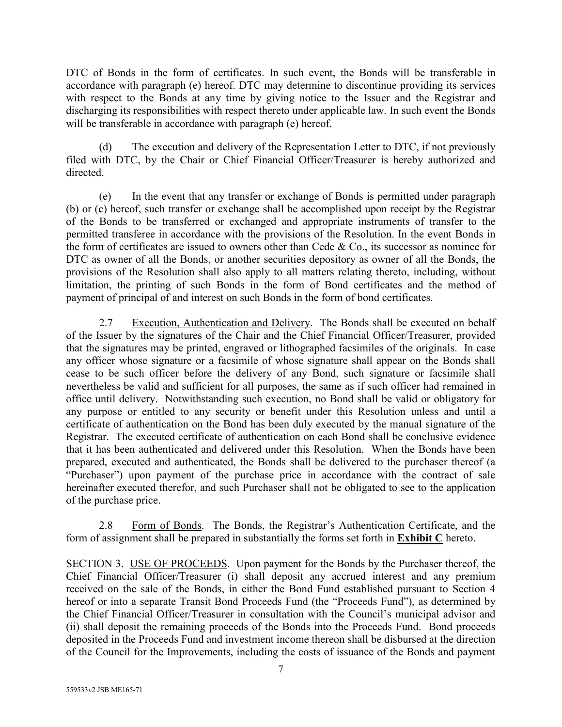DTC of Bonds in the form of certificates. In such event, the Bonds will be transferable in accordance with paragraph (e) hereof. DTC may determine to discontinue providing its services with respect to the Bonds at any time by giving notice to the Issuer and the Registrar and discharging its responsibilities with respect thereto under applicable law. In such event the Bonds will be transferable in accordance with paragraph (e) hereof.

(d) The execution and delivery of the Representation Letter to DTC, if not previously filed with DTC, by the Chair or Chief Financial Officer/Treasurer is hereby authorized and directed.

(e) In the event that any transfer or exchange of Bonds is permitted under paragraph (b) or (c) hereof, such transfer or exchange shall be accomplished upon receipt by the Registrar of the Bonds to be transferred or exchanged and appropriate instruments of transfer to the permitted transferee in accordance with the provisions of the Resolution. In the event Bonds in the form of certificates are issued to owners other than Cede & Co., its successor as nominee for DTC as owner of all the Bonds, or another securities depository as owner of all the Bonds, the provisions of the Resolution shall also apply to all matters relating thereto, including, without limitation, the printing of such Bonds in the form of Bond certificates and the method of payment of principal of and interest on such Bonds in the form of bond certificates.

2.7 Execution, Authentication and Delivery. The Bonds shall be executed on behalf of the Issuer by the signatures of the Chair and the Chief Financial Officer/Treasurer, provided that the signatures may be printed, engraved or lithographed facsimiles of the originals. In case any officer whose signature or a facsimile of whose signature shall appear on the Bonds shall cease to be such officer before the delivery of any Bond, such signature or facsimile shall nevertheless be valid and sufficient for all purposes, the same as if such officer had remained in office until delivery. Notwithstanding such execution, no Bond shall be valid or obligatory for any purpose or entitled to any security or benefit under this Resolution unless and until a certificate of authentication on the Bond has been duly executed by the manual signature of the Registrar. The executed certificate of authentication on each Bond shall be conclusive evidence that it has been authenticated and delivered under this Resolution. When the Bonds have been prepared, executed and authenticated, the Bonds shall be delivered to the purchaser thereof (a "Purchaser") upon payment of the purchase price in accordance with the contract of sale hereinafter executed therefor, and such Purchaser shall not be obligated to see to the application of the purchase price.

2.8 Form of Bonds. The Bonds, the Registrar's Authentication Certificate, and the form of assignment shall be prepared in substantially the forms set forth in **Exhibit C** hereto.

SECTION 3. USE OF PROCEEDS. Upon payment for the Bonds by the Purchaser thereof, the Chief Financial Officer/Treasurer (i) shall deposit any accrued interest and any premium received on the sale of the Bonds, in either the Bond Fund established pursuant to Section 4 hereof or into a separate Transit Bond Proceeds Fund (the "Proceeds Fund"), as determined by the Chief Financial Officer/Treasurer in consultation with the Council's municipal advisor and (ii) shall deposit the remaining proceeds of the Bonds into the Proceeds Fund. Bond proceeds deposited in the Proceeds Fund and investment income thereon shall be disbursed at the direction of the Council for the Improvements, including the costs of issuance of the Bonds and payment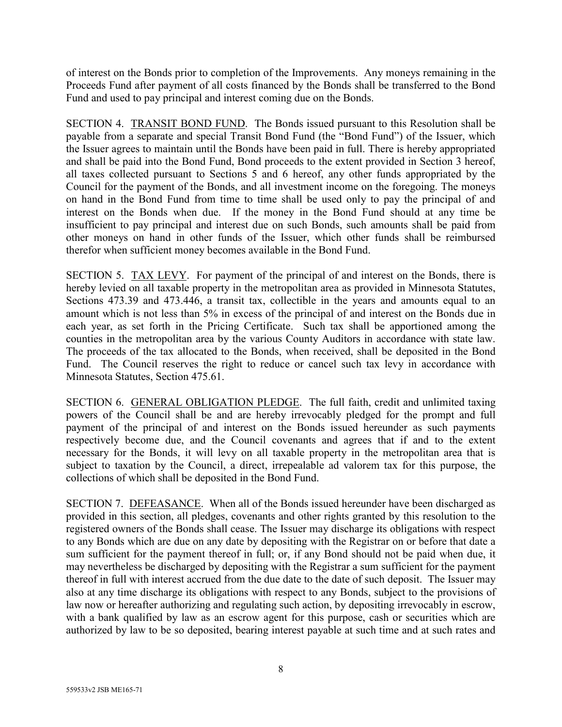of interest on the Bonds prior to completion of the Improvements. Any moneys remaining in the Proceeds Fund after payment of all costs financed by the Bonds shall be transferred to the Bond Fund and used to pay principal and interest coming due on the Bonds.

SECTION 4. TRANSIT BOND FUND. The Bonds issued pursuant to this Resolution shall be payable from a separate and special Transit Bond Fund (the "Bond Fund") of the Issuer, which the Issuer agrees to maintain until the Bonds have been paid in full. There is hereby appropriated and shall be paid into the Bond Fund, Bond proceeds to the extent provided in Section 3 hereof, all taxes collected pursuant to Sections 5 and 6 hereof, any other funds appropriated by the Council for the payment of the Bonds, and all investment income on the foregoing. The moneys on hand in the Bond Fund from time to time shall be used only to pay the principal of and interest on the Bonds when due. If the money in the Bond Fund should at any time be insufficient to pay principal and interest due on such Bonds, such amounts shall be paid from other moneys on hand in other funds of the Issuer, which other funds shall be reimbursed therefor when sufficient money becomes available in the Bond Fund.

SECTION 5. TAX LEVY. For payment of the principal of and interest on the Bonds, there is hereby levied on all taxable property in the metropolitan area as provided in Minnesota Statutes, Sections 473.39 and 473.446, a transit tax, collectible in the years and amounts equal to an amount which is not less than 5% in excess of the principal of and interest on the Bonds due in each year, as set forth in the Pricing Certificate. Such tax shall be apportioned among the counties in the metropolitan area by the various County Auditors in accordance with state law. The proceeds of the tax allocated to the Bonds, when received, shall be deposited in the Bond Fund. The Council reserves the right to reduce or cancel such tax levy in accordance with Minnesota Statutes, Section 475.61.

SECTION 6. GENERAL OBLIGATION PLEDGE. The full faith, credit and unlimited taxing powers of the Council shall be and are hereby irrevocably pledged for the prompt and full payment of the principal of and interest on the Bonds issued hereunder as such payments respectively become due, and the Council covenants and agrees that if and to the extent necessary for the Bonds, it will levy on all taxable property in the metropolitan area that is subject to taxation by the Council, a direct, irrepealable ad valorem tax for this purpose, the collections of which shall be deposited in the Bond Fund.

SECTION 7. DEFEASANCE. When all of the Bonds issued hereunder have been discharged as provided in this section, all pledges, covenants and other rights granted by this resolution to the registered owners of the Bonds shall cease. The Issuer may discharge its obligations with respect to any Bonds which are due on any date by depositing with the Registrar on or before that date a sum sufficient for the payment thereof in full; or, if any Bond should not be paid when due, it may nevertheless be discharged by depositing with the Registrar a sum sufficient for the payment thereof in full with interest accrued from the due date to the date of such deposit. The Issuer may also at any time discharge its obligations with respect to any Bonds, subject to the provisions of law now or hereafter authorizing and regulating such action, by depositing irrevocably in escrow, with a bank qualified by law as an escrow agent for this purpose, cash or securities which are authorized by law to be so deposited, bearing interest payable at such time and at such rates and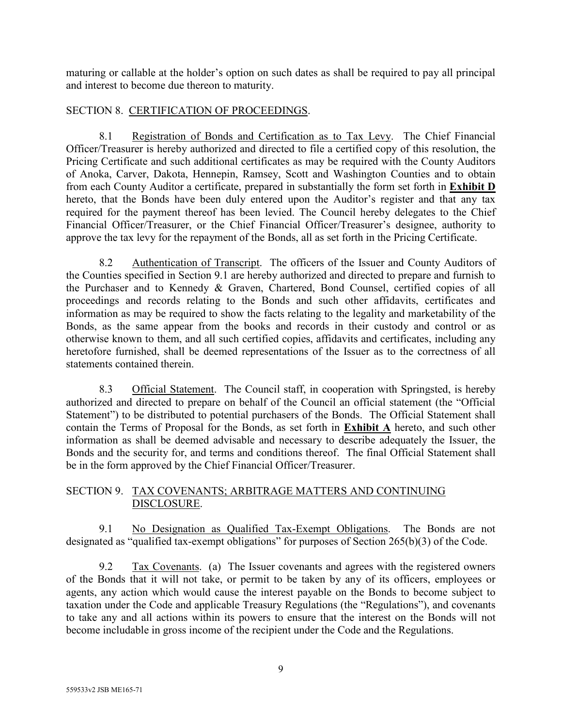maturing or callable at the holder's option on such dates as shall be required to pay all principal and interest to become due thereon to maturity.

# SECTION 8. CERTIFICATION OF PROCEEDINGS.

8.1 Registration of Bonds and Certification as to Tax Levy. The Chief Financial Officer/Treasurer is hereby authorized and directed to file a certified copy of this resolution, the Pricing Certificate and such additional certificates as may be required with the County Auditors of Anoka, Carver, Dakota, Hennepin, Ramsey, Scott and Washington Counties and to obtain from each County Auditor a certificate, prepared in substantially the form set forth in **Exhibit D** hereto, that the Bonds have been duly entered upon the Auditor's register and that any tax required for the payment thereof has been levied. The Council hereby delegates to the Chief Financial Officer/Treasurer, or the Chief Financial Officer/Treasurer's designee, authority to approve the tax levy for the repayment of the Bonds, all as set forth in the Pricing Certificate.

8.2 Authentication of Transcript. The officers of the Issuer and County Auditors of the Counties specified in Section 9.1 are hereby authorized and directed to prepare and furnish to the Purchaser and to Kennedy & Graven, Chartered, Bond Counsel, certified copies of all proceedings and records relating to the Bonds and such other affidavits, certificates and information as may be required to show the facts relating to the legality and marketability of the Bonds, as the same appear from the books and records in their custody and control or as otherwise known to them, and all such certified copies, affidavits and certificates, including any heretofore furnished, shall be deemed representations of the Issuer as to the correctness of all statements contained therein.

8.3 Official Statement. The Council staff, in cooperation with Springsted, is hereby authorized and directed to prepare on behalf of the Council an official statement (the "Official Statement") to be distributed to potential purchasers of the Bonds. The Official Statement shall contain the Terms of Proposal for the Bonds, as set forth in **Exhibit A** hereto, and such other information as shall be deemed advisable and necessary to describe adequately the Issuer, the Bonds and the security for, and terms and conditions thereof. The final Official Statement shall be in the form approved by the Chief Financial Officer/Treasurer.

# SECTION 9. TAX COVENANTS; ARBITRAGE MATTERS AND CONTINUING DISCLOSURE.

9.1 No Designation as Qualified Tax-Exempt Obligations. The Bonds are not designated as "qualified tax-exempt obligations" for purposes of Section 265(b)(3) of the Code.

9.2 Tax Covenants. (a) The Issuer covenants and agrees with the registered owners of the Bonds that it will not take, or permit to be taken by any of its officers, employees or agents, any action which would cause the interest payable on the Bonds to become subject to taxation under the Code and applicable Treasury Regulations (the "Regulations"), and covenants to take any and all actions within its powers to ensure that the interest on the Bonds will not become includable in gross income of the recipient under the Code and the Regulations.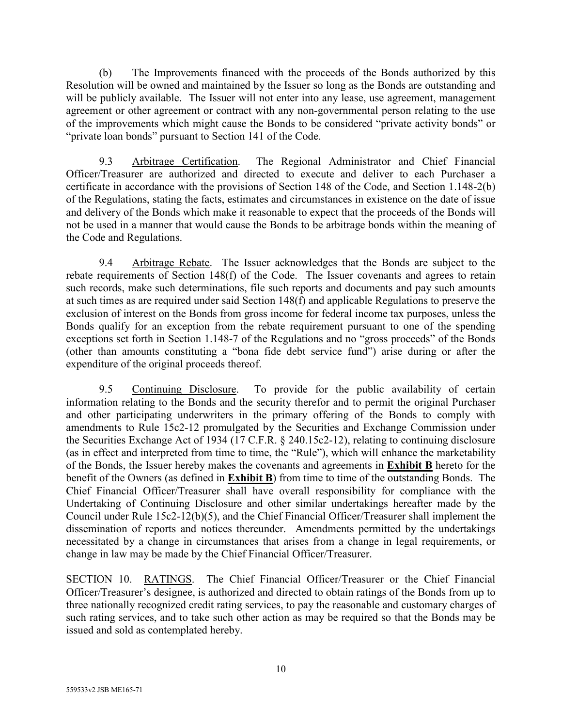(b) The Improvements financed with the proceeds of the Bonds authorized by this Resolution will be owned and maintained by the Issuer so long as the Bonds are outstanding and will be publicly available. The Issuer will not enter into any lease, use agreement, management agreement or other agreement or contract with any non-governmental person relating to the use of the improvements which might cause the Bonds to be considered "private activity bonds" or "private loan bonds" pursuant to Section 141 of the Code.

9.3 Arbitrage Certification. The Regional Administrator and Chief Financial Officer/Treasurer are authorized and directed to execute and deliver to each Purchaser a certificate in accordance with the provisions of Section 148 of the Code, and Section 1.148-2(b) of the Regulations, stating the facts, estimates and circumstances in existence on the date of issue and delivery of the Bonds which make it reasonable to expect that the proceeds of the Bonds will not be used in a manner that would cause the Bonds to be arbitrage bonds within the meaning of the Code and Regulations.

9.4 Arbitrage Rebate. The Issuer acknowledges that the Bonds are subject to the rebate requirements of Section 148(f) of the Code. The Issuer covenants and agrees to retain such records, make such determinations, file such reports and documents and pay such amounts at such times as are required under said Section 148(f) and applicable Regulations to preserve the exclusion of interest on the Bonds from gross income for federal income tax purposes, unless the Bonds qualify for an exception from the rebate requirement pursuant to one of the spending exceptions set forth in Section 1.148-7 of the Regulations and no "gross proceeds" of the Bonds (other than amounts constituting a "bona fide debt service fund") arise during or after the expenditure of the original proceeds thereof.

9.5 Continuing Disclosure. To provide for the public availability of certain information relating to the Bonds and the security therefor and to permit the original Purchaser and other participating underwriters in the primary offering of the Bonds to comply with amendments to Rule 15c2-12 promulgated by the Securities and Exchange Commission under the Securities Exchange Act of 1934 (17 C.F.R. § 240.15c2-12), relating to continuing disclosure (as in effect and interpreted from time to time, the "Rule"), which will enhance the marketability of the Bonds, the Issuer hereby makes the covenants and agreements in **Exhibit B** hereto for the benefit of the Owners (as defined in **Exhibit B**) from time to time of the outstanding Bonds. The Chief Financial Officer/Treasurer shall have overall responsibility for compliance with the Undertaking of Continuing Disclosure and other similar undertakings hereafter made by the Council under Rule 15c2-12(b)(5), and the Chief Financial Officer/Treasurer shall implement the dissemination of reports and notices thereunder. Amendments permitted by the undertakings necessitated by a change in circumstances that arises from a change in legal requirements, or change in law may be made by the Chief Financial Officer/Treasurer.

SECTION 10. RATINGS. The Chief Financial Officer/Treasurer or the Chief Financial Officer/Treasurer's designee, is authorized and directed to obtain ratings of the Bonds from up to three nationally recognized credit rating services, to pay the reasonable and customary charges of such rating services, and to take such other action as may be required so that the Bonds may be issued and sold as contemplated hereby.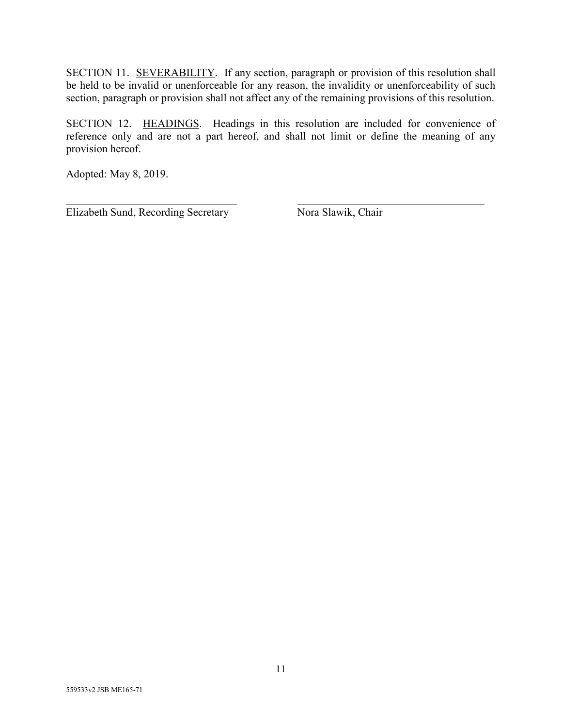SECTION 11. SEVERABILITY. If any section, paragraph or provision of this resolution shall be held to be invalid or unenforceable for any reason, the invalidity or unenforceability of such section, paragraph or provision shall not affect any of the remaining provisions of this resolution.

SECTION 12. HEADINGS. Headings in this resolution are included for convenience of reference only and are not a part hereof, and shall not limit or define the meaning of any provision hereof.

Adopted: May 8, 2019.

 $\frac{1}{2}$  ,  $\frac{1}{2}$  ,  $\frac{1}{2}$  ,  $\frac{1}{2}$  ,  $\frac{1}{2}$  ,  $\frac{1}{2}$  ,  $\frac{1}{2}$  ,  $\frac{1}{2}$  ,  $\frac{1}{2}$  ,  $\frac{1}{2}$  ,  $\frac{1}{2}$  ,  $\frac{1}{2}$  ,  $\frac{1}{2}$  ,  $\frac{1}{2}$  ,  $\frac{1}{2}$  ,  $\frac{1}{2}$  ,  $\frac{1}{2}$  ,  $\frac{1}{2}$  ,  $\frac{1$ Elizabeth Sund, Recording Secretary Nora Slawik, Chair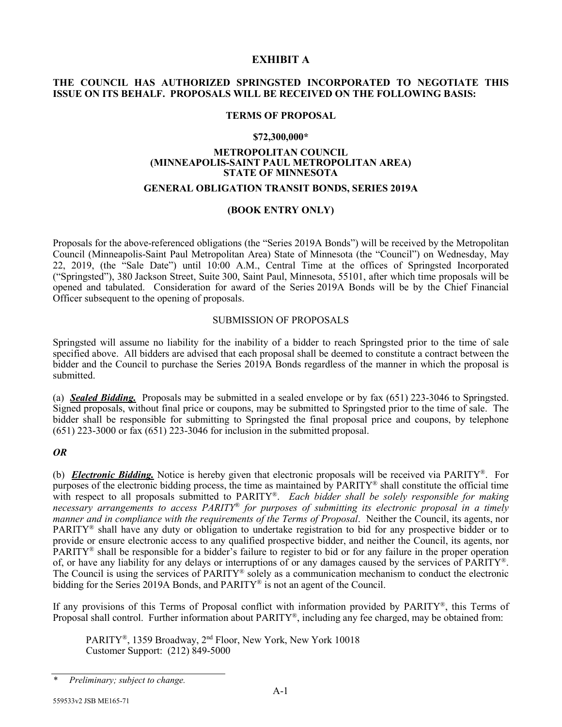## **EXHIBIT A**

## **THE COUNCIL HAS AUTHORIZED SPRINGSTED INCORPORATED TO NEGOTIATE THIS ISSUE ON ITS BEHALF. PROPOSALS WILL BE RECEIVED ON THE FOLLOWING BASIS:**

## **TERMS OF PROPOSAL**

#### **\$72,300,000\***

### **METROPOLITAN COUNCIL (MINNEAPOLIS-SAINT PAUL METROPOLITAN AREA) STATE OF MINNESOTA**

## **GENERAL OBLIGATION TRANSIT BONDS, SERIES 2019A**

## **(BOOK ENTRY ONLY)**

Proposals for the above-referenced obligations (the "Series 2019A Bonds") will be received by the Metropolitan Council (Minneapolis-Saint Paul Metropolitan Area) State of Minnesota (the "Council") on Wednesday, May 22, 2019, (the "Sale Date") until 10:00 A.M., Central Time at the offices of Springsted Incorporated ("Springsted"), 380 Jackson Street, Suite 300, Saint Paul, Minnesota, 55101, after which time proposals will be opened and tabulated. Consideration for award of the Series 2019A Bonds will be by the Chief Financial Officer subsequent to the opening of proposals.

## SUBMISSION OF PROPOSALS

Springsted will assume no liability for the inability of a bidder to reach Springsted prior to the time of sale specified above. All bidders are advised that each proposal shall be deemed to constitute a contract between the bidder and the Council to purchase the Series 2019A Bonds regardless of the manner in which the proposal is submitted.

(a) *Sealed Bidding.* Proposals may be submitted in a sealed envelope or by fax (651) 223-3046 to Springsted. Signed proposals, without final price or coupons, may be submitted to Springsted prior to the time of sale. The bidder shall be responsible for submitting to Springsted the final proposal price and coupons, by telephone (651) 223-3000 or fax (651) 223-3046 for inclusion in the submitted proposal.

## *OR*

(b) *Electronic Bidding.* Notice is hereby given that electronic proposals will be received via PARITY®. For purposes of the electronic bidding process, the time as maintained by PARITY® shall constitute the official time with respect to all proposals submitted to PARITY®. *Each bidder shall be solely responsible for making necessary arrangements to access PARITY*® *for purposes of submitting its electronic proposal in a timely manner and in compliance with the requirements of the Terms of Proposal*. Neither the Council, its agents, nor PARITY® shall have any duty or obligation to undertake registration to bid for any prospective bidder or to provide or ensure electronic access to any qualified prospective bidder, and neither the Council, its agents, nor PARITY® shall be responsible for a bidder's failure to register to bid or for any failure in the proper operation of, or have any liability for any delays or interruptions of or any damages caused by the services of PARITY®. The Council is using the services of PARITY® solely as a communication mechanism to conduct the electronic bidding for the Series 2019A Bonds, and PARITY® is not an agent of the Council.

If any provisions of this Terms of Proposal conflict with information provided by PARITY®, this Terms of Proposal shall control. Further information about PARITY®, including any fee charged, may be obtained from:

PARITY®, 1359 Broadway, 2<sup>nd</sup> Floor, New York, New York 10018 Customer Support: (212) 849-5000

*<sup>\*</sup> Preliminary; subject to change.*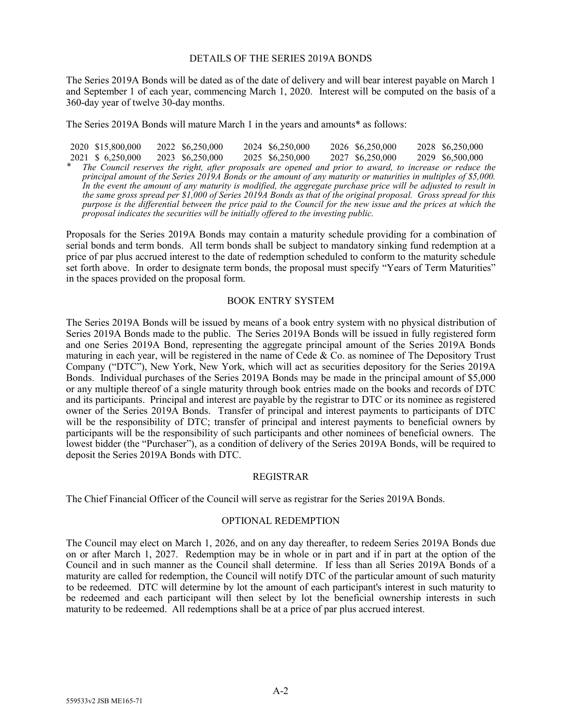#### DETAILS OF THE SERIES 2019A BONDS

The Series 2019A Bonds will be dated as of the date of delivery and will bear interest payable on March 1 and September 1 of each year, commencing March 1, 2020. Interest will be computed on the basis of a 360-day year of twelve 30-day months.

The Series 2019A Bonds will mature March 1 in the years and amounts\* as follows:

 \$15,800,000 \$ 6,250,000 \$6,250,000 \$6,250,000 \$6,250,000 \$6,250,000 \$6,250,000 \$6,250,000 \$6,250,000 \$6,500,000 *\* The Council reserves the right, after proposals are opened and prior to award, to increase or reduce the principal amount of the Series 2019A Bonds or the amount of any maturity or maturities in multiples of \$5,000. In the event the amount of any maturity is modified, the aggregate purchase price will be adjusted to result in the same gross spread per \$1,000 of Series 2019A Bonds as that of the original proposal. Gross spread for this purpose is the differential between the price paid to the Council for the new issue and the prices at which the proposal indicates the securities will be initially offered to the investing public.*

Proposals for the Series 2019A Bonds may contain a maturity schedule providing for a combination of serial bonds and term bonds. All term bonds shall be subject to mandatory sinking fund redemption at a price of par plus accrued interest to the date of redemption scheduled to conform to the maturity schedule set forth above. In order to designate term bonds, the proposal must specify "Years of Term Maturities" in the spaces provided on the proposal form.

#### BOOK ENTRY SYSTEM

The Series 2019A Bonds will be issued by means of a book entry system with no physical distribution of Series 2019A Bonds made to the public. The Series 2019A Bonds will be issued in fully registered form and one Series 2019A Bond, representing the aggregate principal amount of the Series 2019A Bonds maturing in each year, will be registered in the name of Cede  $\&$  Co. as nominee of The Depository Trust Company ("DTC"), New York, New York, which will act as securities depository for the Series 2019A Bonds. Individual purchases of the Series 2019A Bonds may be made in the principal amount of \$5,000 or any multiple thereof of a single maturity through book entries made on the books and records of DTC and its participants. Principal and interest are payable by the registrar to DTC or its nominee as registered owner of the Series 2019A Bonds. Transfer of principal and interest payments to participants of DTC will be the responsibility of DTC; transfer of principal and interest payments to beneficial owners by participants will be the responsibility of such participants and other nominees of beneficial owners. The lowest bidder (the "Purchaser"), as a condition of delivery of the Series 2019A Bonds, will be required to deposit the Series 2019A Bonds with DTC.

#### REGISTRAR

The Chief Financial Officer of the Council will serve as registrar for the Series 2019A Bonds.

#### OPTIONAL REDEMPTION

The Council may elect on March 1, 2026, and on any day thereafter, to redeem Series 2019A Bonds due on or after March 1, 2027. Redemption may be in whole or in part and if in part at the option of the Council and in such manner as the Council shall determine. If less than all Series 2019A Bonds of a maturity are called for redemption, the Council will notify DTC of the particular amount of such maturity to be redeemed. DTC will determine by lot the amount of each participant's interest in such maturity to be redeemed and each participant will then select by lot the beneficial ownership interests in such maturity to be redeemed. All redemptions shall be at a price of par plus accrued interest.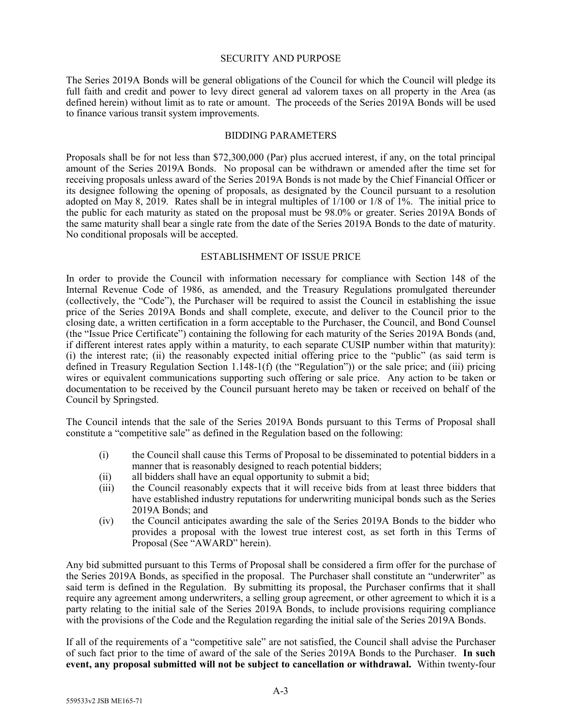#### SECURITY AND PURPOSE

The Series 2019A Bonds will be general obligations of the Council for which the Council will pledge its full faith and credit and power to levy direct general ad valorem taxes on all property in the Area (as defined herein) without limit as to rate or amount. The proceeds of the Series 2019A Bonds will be used to finance various transit system improvements.

### BIDDING PARAMETERS

Proposals shall be for not less than \$72,300,000 (Par) plus accrued interest, if any, on the total principal amount of the Series 2019A Bonds. No proposal can be withdrawn or amended after the time set for receiving proposals unless award of the Series 2019A Bonds is not made by the Chief Financial Officer or its designee following the opening of proposals, as designated by the Council pursuant to a resolution adopted on May 8, 2019. Rates shall be in integral multiples of 1/100 or 1/8 of 1%. The initial price to the public for each maturity as stated on the proposal must be 98.0% or greater. Series 2019A Bonds of the same maturity shall bear a single rate from the date of the Series 2019A Bonds to the date of maturity. No conditional proposals will be accepted.

## ESTABLISHMENT OF ISSUE PRICE

In order to provide the Council with information necessary for compliance with Section 148 of the Internal Revenue Code of 1986, as amended, and the Treasury Regulations promulgated thereunder (collectively, the "Code"), the Purchaser will be required to assist the Council in establishing the issue price of the Series 2019A Bonds and shall complete, execute, and deliver to the Council prior to the closing date, a written certification in a form acceptable to the Purchaser, the Council, and Bond Counsel (the "Issue Price Certificate") containing the following for each maturity of the Series 2019A Bonds (and, if different interest rates apply within a maturity, to each separate CUSIP number within that maturity): (i) the interest rate; (ii) the reasonably expected initial offering price to the "public" (as said term is defined in Treasury Regulation Section 1.148-1(f) (the "Regulation")) or the sale price; and (iii) pricing wires or equivalent communications supporting such offering or sale price. Any action to be taken or documentation to be received by the Council pursuant hereto may be taken or received on behalf of the Council by Springsted.

The Council intends that the sale of the Series 2019A Bonds pursuant to this Terms of Proposal shall constitute a "competitive sale" as defined in the Regulation based on the following:

- (i) the Council shall cause this Terms of Proposal to be disseminated to potential bidders in a manner that is reasonably designed to reach potential bidders;
- (ii) all bidders shall have an equal opportunity to submit a bid;
- (iii) the Council reasonably expects that it will receive bids from at least three bidders that have established industry reputations for underwriting municipal bonds such as the Series 2019A Bonds; and
- (iv) the Council anticipates awarding the sale of the Series 2019A Bonds to the bidder who provides a proposal with the lowest true interest cost, as set forth in this Terms of Proposal (See "AWARD" herein).

Any bid submitted pursuant to this Terms of Proposal shall be considered a firm offer for the purchase of the Series 2019A Bonds, as specified in the proposal. The Purchaser shall constitute an "underwriter" as said term is defined in the Regulation. By submitting its proposal, the Purchaser confirms that it shall require any agreement among underwriters, a selling group agreement, or other agreement to which it is a party relating to the initial sale of the Series 2019A Bonds, to include provisions requiring compliance with the provisions of the Code and the Regulation regarding the initial sale of the Series 2019A Bonds.

If all of the requirements of a "competitive sale" are not satisfied, the Council shall advise the Purchaser of such fact prior to the time of award of the sale of the Series 2019A Bonds to the Purchaser. **In such event, any proposal submitted will not be subject to cancellation or withdrawal.** Within twenty-four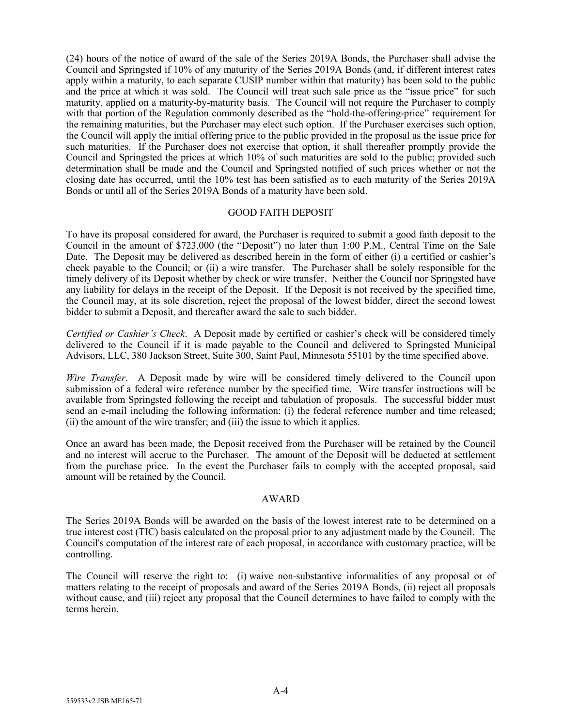(24) hours of the notice of award of the sale of the Series 2019A Bonds, the Purchaser shall advise the Council and Springsted if 10% of any maturity of the Series 2019A Bonds (and, if different interest rates apply within a maturity, to each separate CUSIP number within that maturity) has been sold to the public and the price at which it was sold. The Council will treat such sale price as the "issue price" for such maturity, applied on a maturity-by-maturity basis. The Council will not require the Purchaser to comply with that portion of the Regulation commonly described as the "hold-the-offering-price" requirement for the remaining maturities, but the Purchaser may elect such option. If the Purchaser exercises such option, the Council will apply the initial offering price to the public provided in the proposal as the issue price for such maturities. If the Purchaser does not exercise that option, it shall thereafter promptly provide the Council and Springsted the prices at which 10% of such maturities are sold to the public; provided such determination shall be made and the Council and Springsted notified of such prices whether or not the closing date has occurred, until the 10% test has been satisfied as to each maturity of the Series 2019A Bonds or until all of the Series 2019A Bonds of a maturity have been sold.

## GOOD FAITH DEPOSIT

To have its proposal considered for award, the Purchaser is required to submit a good faith deposit to the Council in the amount of \$723,000 (the "Deposit") no later than 1:00 P.M., Central Time on the Sale Date. The Deposit may be delivered as described herein in the form of either (i) a certified or cashier's check payable to the Council; or (ii) a wire transfer. The Purchaser shall be solely responsible for the timely delivery of its Deposit whether by check or wire transfer. Neither the Council nor Springsted have any liability for delays in the receipt of the Deposit. If the Deposit is not received by the specified time, the Council may, at its sole discretion, reject the proposal of the lowest bidder, direct the second lowest bidder to submit a Deposit, and thereafter award the sale to such bidder.

*Certified or Cashier's Check*. A Deposit made by certified or cashier's check will be considered timely delivered to the Council if it is made payable to the Council and delivered to Springsted Municipal Advisors, LLC, 380 Jackson Street, Suite 300, Saint Paul, Minnesota 55101 by the time specified above.

*Wire Transfer*. A Deposit made by wire will be considered timely delivered to the Council upon submission of a federal wire reference number by the specified time. Wire transfer instructions will be available from Springsted following the receipt and tabulation of proposals. The successful bidder must send an e-mail including the following information: (i) the federal reference number and time released; (ii) the amount of the wire transfer; and (iii) the issue to which it applies.

Once an award has been made, the Deposit received from the Purchaser will be retained by the Council and no interest will accrue to the Purchaser. The amount of the Deposit will be deducted at settlement from the purchase price. In the event the Purchaser fails to comply with the accepted proposal, said amount will be retained by the Council.

## AWARD

The Series 2019A Bonds will be awarded on the basis of the lowest interest rate to be determined on a true interest cost (TIC) basis calculated on the proposal prior to any adjustment made by the Council. The Council's computation of the interest rate of each proposal, in accordance with customary practice, will be controlling.

The Council will reserve the right to: (i) waive non-substantive informalities of any proposal or of matters relating to the receipt of proposals and award of the Series 2019A Bonds, (ii) reject all proposals without cause, and (iii) reject any proposal that the Council determines to have failed to comply with the terms herein.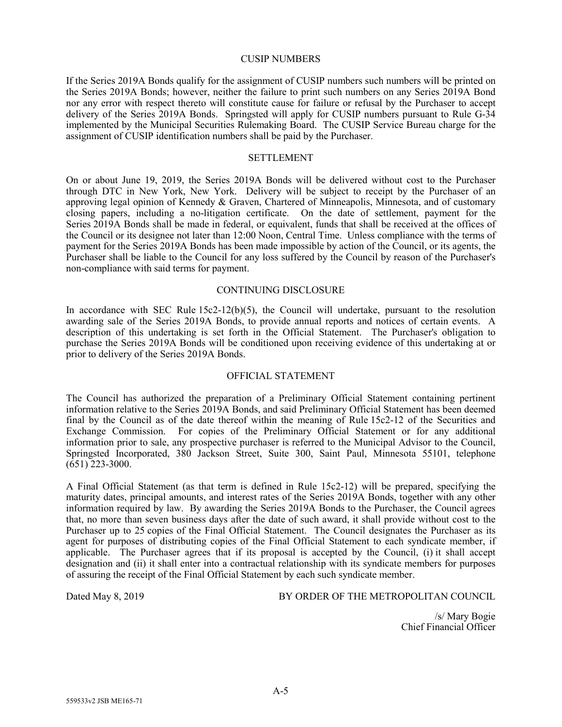#### CUSIP NUMBERS

If the Series 2019A Bonds qualify for the assignment of CUSIP numbers such numbers will be printed on the Series 2019A Bonds; however, neither the failure to print such numbers on any Series 2019A Bond nor any error with respect thereto will constitute cause for failure or refusal by the Purchaser to accept delivery of the Series 2019A Bonds. Springsted will apply for CUSIP numbers pursuant to Rule G-34 implemented by the Municipal Securities Rulemaking Board. The CUSIP Service Bureau charge for the assignment of CUSIP identification numbers shall be paid by the Purchaser.

#### **SETTLEMENT**

On or about June 19, 2019, the Series 2019A Bonds will be delivered without cost to the Purchaser through DTC in New York, New York. Delivery will be subject to receipt by the Purchaser of an approving legal opinion of Kennedy & Graven, Chartered of Minneapolis, Minnesota, and of customary closing papers, including a no-litigation certificate. On the date of settlement, payment for the Series 2019A Bonds shall be made in federal, or equivalent, funds that shall be received at the offices of the Council or its designee not later than 12:00 Noon, Central Time. Unless compliance with the terms of payment for the Series 2019A Bonds has been made impossible by action of the Council, or its agents, the Purchaser shall be liable to the Council for any loss suffered by the Council by reason of the Purchaser's non-compliance with said terms for payment.

### CONTINUING DISCLOSURE

In accordance with SEC Rule  $15c2-12(b)(5)$ , the Council will undertake, pursuant to the resolution awarding sale of the Series 2019A Bonds, to provide annual reports and notices of certain events. A description of this undertaking is set forth in the Official Statement. The Purchaser's obligation to purchase the Series 2019A Bonds will be conditioned upon receiving evidence of this undertaking at or prior to delivery of the Series 2019A Bonds.

#### OFFICIAL STATEMENT

The Council has authorized the preparation of a Preliminary Official Statement containing pertinent information relative to the Series 2019A Bonds, and said Preliminary Official Statement has been deemed final by the Council as of the date thereof within the meaning of Rule 15c2-12 of the Securities and Exchange Commission. For copies of the Preliminary Official Statement or for any additional information prior to sale, any prospective purchaser is referred to the Municipal Advisor to the Council, Springsted Incorporated, 380 Jackson Street, Suite 300, Saint Paul, Minnesota 55101, telephone  $(651)$  223-3000.

A Final Official Statement (as that term is defined in Rule 15c2-12) will be prepared, specifying the maturity dates, principal amounts, and interest rates of the Series 2019A Bonds, together with any other information required by law. By awarding the Series 2019A Bonds to the Purchaser, the Council agrees that, no more than seven business days after the date of such award, it shall provide without cost to the Purchaser up to 25 copies of the Final Official Statement. The Council designates the Purchaser as its agent for purposes of distributing copies of the Final Official Statement to each syndicate member, if applicable. The Purchaser agrees that if its proposal is accepted by the Council, (i) it shall accept designation and (ii) it shall enter into a contractual relationship with its syndicate members for purposes of assuring the receipt of the Final Official Statement by each such syndicate member.

Dated May 8, 2019 BY ORDER OF THE METROPOLITAN COUNCIL

/s/ Mary Bogie Chief Financial Officer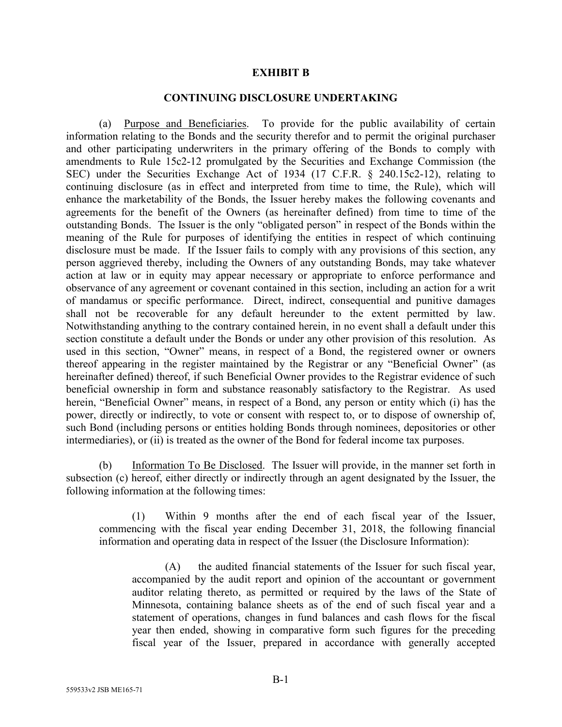## **EXHIBIT B**

## **CONTINUING DISCLOSURE UNDERTAKING**

(a) Purpose and Beneficiaries. To provide for the public availability of certain information relating to the Bonds and the security therefor and to permit the original purchaser and other participating underwriters in the primary offering of the Bonds to comply with amendments to Rule 15c2-12 promulgated by the Securities and Exchange Commission (the SEC) under the Securities Exchange Act of 1934 (17 C.F.R. § 240.15c2-12), relating to continuing disclosure (as in effect and interpreted from time to time, the Rule), which will enhance the marketability of the Bonds, the Issuer hereby makes the following covenants and agreements for the benefit of the Owners (as hereinafter defined) from time to time of the outstanding Bonds. The Issuer is the only "obligated person" in respect of the Bonds within the meaning of the Rule for purposes of identifying the entities in respect of which continuing disclosure must be made. If the Issuer fails to comply with any provisions of this section, any person aggrieved thereby, including the Owners of any outstanding Bonds, may take whatever action at law or in equity may appear necessary or appropriate to enforce performance and observance of any agreement or covenant contained in this section, including an action for a writ of mandamus or specific performance. Direct, indirect, consequential and punitive damages shall not be recoverable for any default hereunder to the extent permitted by law. Notwithstanding anything to the contrary contained herein, in no event shall a default under this section constitute a default under the Bonds or under any other provision of this resolution. As used in this section, "Owner" means, in respect of a Bond, the registered owner or owners thereof appearing in the register maintained by the Registrar or any "Beneficial Owner" (as hereinafter defined) thereof, if such Beneficial Owner provides to the Registrar evidence of such beneficial ownership in form and substance reasonably satisfactory to the Registrar. As used herein, "Beneficial Owner" means, in respect of a Bond, any person or entity which (i) has the power, directly or indirectly, to vote or consent with respect to, or to dispose of ownership of, such Bond (including persons or entities holding Bonds through nominees, depositories or other intermediaries), or (ii) is treated as the owner of the Bond for federal income tax purposes.

(b) Information To Be Disclosed. The Issuer will provide, in the manner set forth in subsection (c) hereof, either directly or indirectly through an agent designated by the Issuer, the following information at the following times:

(1) Within 9 months after the end of each fiscal year of the Issuer, commencing with the fiscal year ending December 31, 2018, the following financial information and operating data in respect of the Issuer (the Disclosure Information):

(A) the audited financial statements of the Issuer for such fiscal year, accompanied by the audit report and opinion of the accountant or government auditor relating thereto, as permitted or required by the laws of the State of Minnesota, containing balance sheets as of the end of such fiscal year and a statement of operations, changes in fund balances and cash flows for the fiscal year then ended, showing in comparative form such figures for the preceding fiscal year of the Issuer, prepared in accordance with generally accepted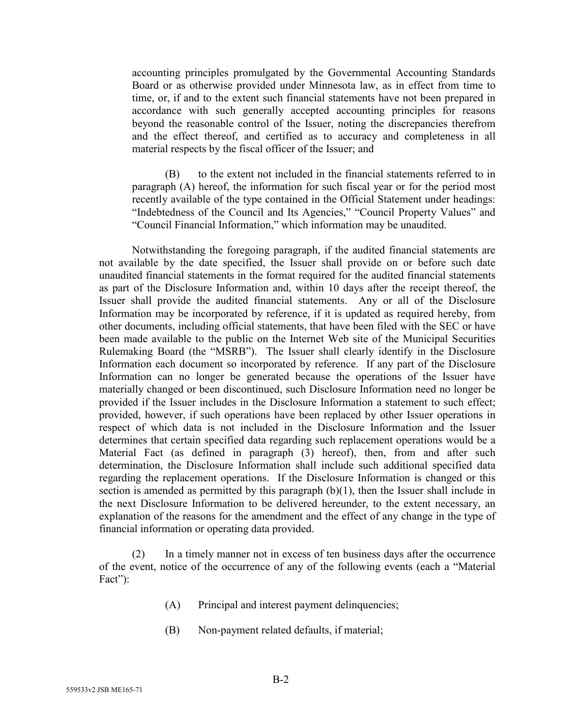accounting principles promulgated by the Governmental Accounting Standards Board or as otherwise provided under Minnesota law, as in effect from time to time, or, if and to the extent such financial statements have not been prepared in accordance with such generally accepted accounting principles for reasons beyond the reasonable control of the Issuer, noting the discrepancies therefrom and the effect thereof, and certified as to accuracy and completeness in all material respects by the fiscal officer of the Issuer; and

(B) to the extent not included in the financial statements referred to in paragraph (A) hereof, the information for such fiscal year or for the period most recently available of the type contained in the Official Statement under headings: "Indebtedness of the Council and Its Agencies," "Council Property Values" and "Council Financial Information," which information may be unaudited.

Notwithstanding the foregoing paragraph, if the audited financial statements are not available by the date specified, the Issuer shall provide on or before such date unaudited financial statements in the format required for the audited financial statements as part of the Disclosure Information and, within 10 days after the receipt thereof, the Issuer shall provide the audited financial statements. Any or all of the Disclosure Information may be incorporated by reference, if it is updated as required hereby, from other documents, including official statements, that have been filed with the SEC or have been made available to the public on the Internet Web site of the Municipal Securities Rulemaking Board (the "MSRB"). The Issuer shall clearly identify in the Disclosure Information each document so incorporated by reference. If any part of the Disclosure Information can no longer be generated because the operations of the Issuer have materially changed or been discontinued, such Disclosure Information need no longer be provided if the Issuer includes in the Disclosure Information a statement to such effect; provided, however, if such operations have been replaced by other Issuer operations in respect of which data is not included in the Disclosure Information and the Issuer determines that certain specified data regarding such replacement operations would be a Material Fact (as defined in paragraph (3) hereof), then, from and after such determination, the Disclosure Information shall include such additional specified data regarding the replacement operations. If the Disclosure Information is changed or this section is amended as permitted by this paragraph  $(b)(1)$ , then the Issuer shall include in the next Disclosure Information to be delivered hereunder, to the extent necessary, an explanation of the reasons for the amendment and the effect of any change in the type of financial information or operating data provided.

(2) In a timely manner not in excess of ten business days after the occurrence of the event, notice of the occurrence of any of the following events (each a "Material Fact"):

- (A) Principal and interest payment delinquencies;
- (B) Non-payment related defaults, if material;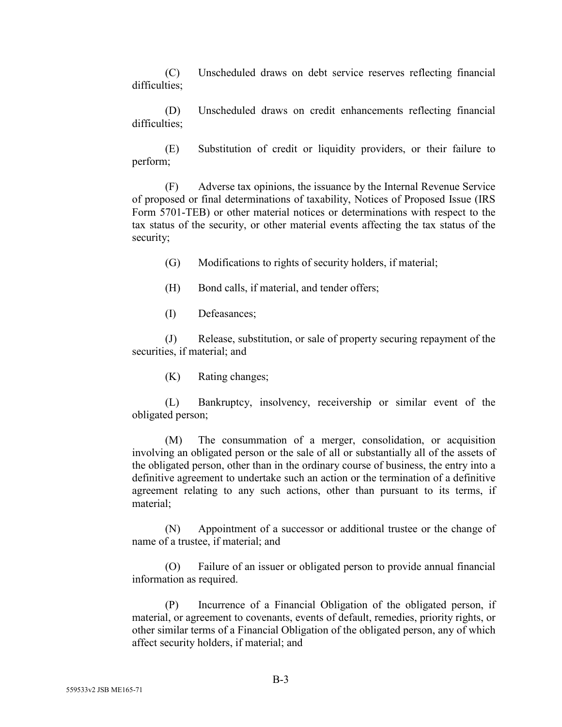(C) Unscheduled draws on debt service reserves reflecting financial difficulties;

(D) Unscheduled draws on credit enhancements reflecting financial difficulties;

(E) Substitution of credit or liquidity providers, or their failure to perform;

(F) Adverse tax opinions, the issuance by the Internal Revenue Service of proposed or final determinations of taxability, Notices of Proposed Issue (IRS Form 5701-TEB) or other material notices or determinations with respect to the tax status of the security, or other material events affecting the tax status of the security;

(G) Modifications to rights of security holders, if material;

- (H) Bond calls, if material, and tender offers;
- (I) Defeasances;

(J) Release, substitution, or sale of property securing repayment of the securities, if material; and

(K) Rating changes;

(L) Bankruptcy, insolvency, receivership or similar event of the obligated person;

(M) The consummation of a merger, consolidation, or acquisition involving an obligated person or the sale of all or substantially all of the assets of the obligated person, other than in the ordinary course of business, the entry into a definitive agreement to undertake such an action or the termination of a definitive agreement relating to any such actions, other than pursuant to its terms, if material;

(N) Appointment of a successor or additional trustee or the change of name of a trustee, if material; and

(O) Failure of an issuer or obligated person to provide annual financial information as required.

(P) Incurrence of a Financial Obligation of the obligated person, if material, or agreement to covenants, events of default, remedies, priority rights, or other similar terms of a Financial Obligation of the obligated person, any of which affect security holders, if material; and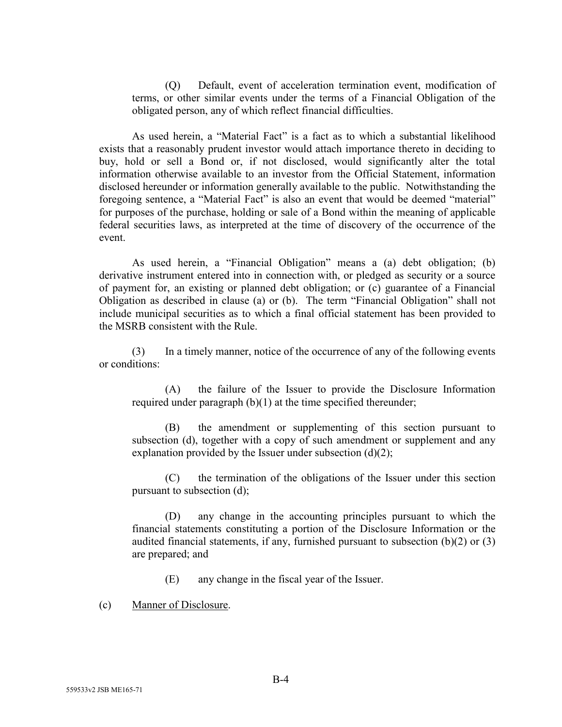(Q) Default, event of acceleration termination event, modification of terms, or other similar events under the terms of a Financial Obligation of the obligated person, any of which reflect financial difficulties.

As used herein, a "Material Fact" is a fact as to which a substantial likelihood exists that a reasonably prudent investor would attach importance thereto in deciding to buy, hold or sell a Bond or, if not disclosed, would significantly alter the total information otherwise available to an investor from the Official Statement, information disclosed hereunder or information generally available to the public. Notwithstanding the foregoing sentence, a "Material Fact" is also an event that would be deemed "material" for purposes of the purchase, holding or sale of a Bond within the meaning of applicable federal securities laws, as interpreted at the time of discovery of the occurrence of the event.

As used herein, a "Financial Obligation" means a (a) debt obligation; (b) derivative instrument entered into in connection with, or pledged as security or a source of payment for, an existing or planned debt obligation; or (c) guarantee of a Financial Obligation as described in clause (a) or (b). The term "Financial Obligation" shall not include municipal securities as to which a final official statement has been provided to the MSRB consistent with the Rule.

(3) In a timely manner, notice of the occurrence of any of the following events or conditions:

(A) the failure of the Issuer to provide the Disclosure Information required under paragraph (b)(1) at the time specified thereunder;

(B) the amendment or supplementing of this section pursuant to subsection (d), together with a copy of such amendment or supplement and any explanation provided by the Issuer under subsection  $(d)(2)$ ;

(C) the termination of the obligations of the Issuer under this section pursuant to subsection (d);

(D) any change in the accounting principles pursuant to which the financial statements constituting a portion of the Disclosure Information or the audited financial statements, if any, furnished pursuant to subsection (b)(2) or (3) are prepared; and

(E) any change in the fiscal year of the Issuer.

(c) Manner of Disclosure.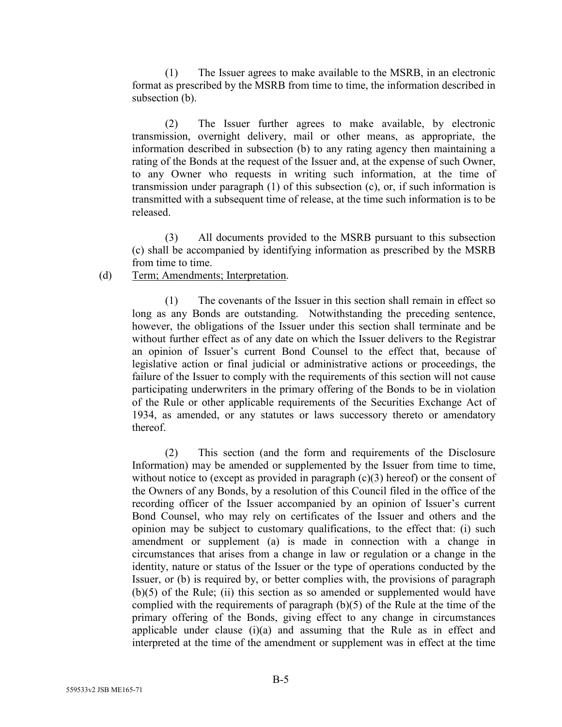(1) The Issuer agrees to make available to the MSRB, in an electronic format as prescribed by the MSRB from time to time, the information described in subsection (b).

(2) The Issuer further agrees to make available, by electronic transmission, overnight delivery, mail or other means, as appropriate, the information described in subsection (b) to any rating agency then maintaining a rating of the Bonds at the request of the Issuer and, at the expense of such Owner, to any Owner who requests in writing such information, at the time of transmission under paragraph (1) of this subsection (c), or, if such information is transmitted with a subsequent time of release, at the time such information is to be released.

(3) All documents provided to the MSRB pursuant to this subsection (c) shall be accompanied by identifying information as prescribed by the MSRB from time to time.

# (d) Term; Amendments; Interpretation.

(1) The covenants of the Issuer in this section shall remain in effect so long as any Bonds are outstanding. Notwithstanding the preceding sentence, however, the obligations of the Issuer under this section shall terminate and be without further effect as of any date on which the Issuer delivers to the Registrar an opinion of Issuer's current Bond Counsel to the effect that, because of legislative action or final judicial or administrative actions or proceedings, the failure of the Issuer to comply with the requirements of this section will not cause participating underwriters in the primary offering of the Bonds to be in violation of the Rule or other applicable requirements of the Securities Exchange Act of 1934, as amended, or any statutes or laws successory thereto or amendatory thereof.

(2) This section (and the form and requirements of the Disclosure Information) may be amended or supplemented by the Issuer from time to time, without notice to (except as provided in paragraph  $(c)(3)$  hereof) or the consent of the Owners of any Bonds, by a resolution of this Council filed in the office of the recording officer of the Issuer accompanied by an opinion of Issuer's current Bond Counsel, who may rely on certificates of the Issuer and others and the opinion may be subject to customary qualifications, to the effect that: (i) such amendment or supplement (a) is made in connection with a change in circumstances that arises from a change in law or regulation or a change in the identity, nature or status of the Issuer or the type of operations conducted by the Issuer, or (b) is required by, or better complies with, the provisions of paragraph (b)(5) of the Rule; (ii) this section as so amended or supplemented would have complied with the requirements of paragraph (b)(5) of the Rule at the time of the primary offering of the Bonds, giving effect to any change in circumstances applicable under clause (i)(a) and assuming that the Rule as in effect and interpreted at the time of the amendment or supplement was in effect at the time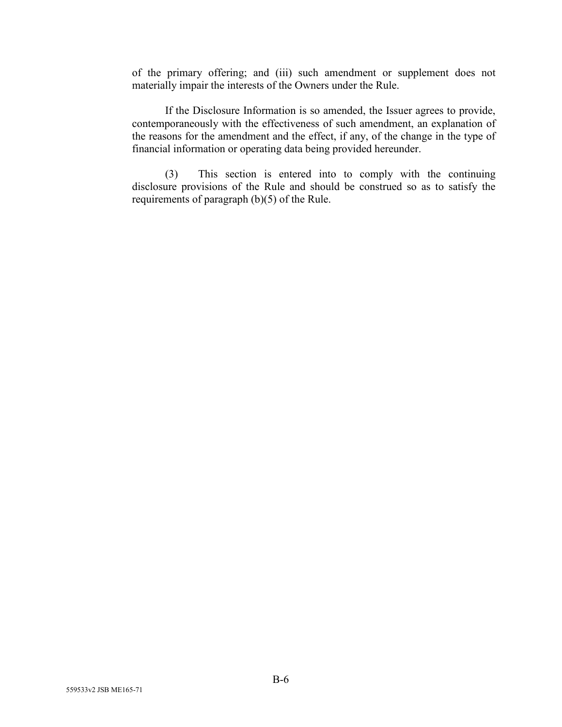of the primary offering; and (iii) such amendment or supplement does not materially impair the interests of the Owners under the Rule.

If the Disclosure Information is so amended, the Issuer agrees to provide, contemporaneously with the effectiveness of such amendment, an explanation of the reasons for the amendment and the effect, if any, of the change in the type of financial information or operating data being provided hereunder.

(3) This section is entered into to comply with the continuing disclosure provisions of the Rule and should be construed so as to satisfy the requirements of paragraph (b)(5) of the Rule.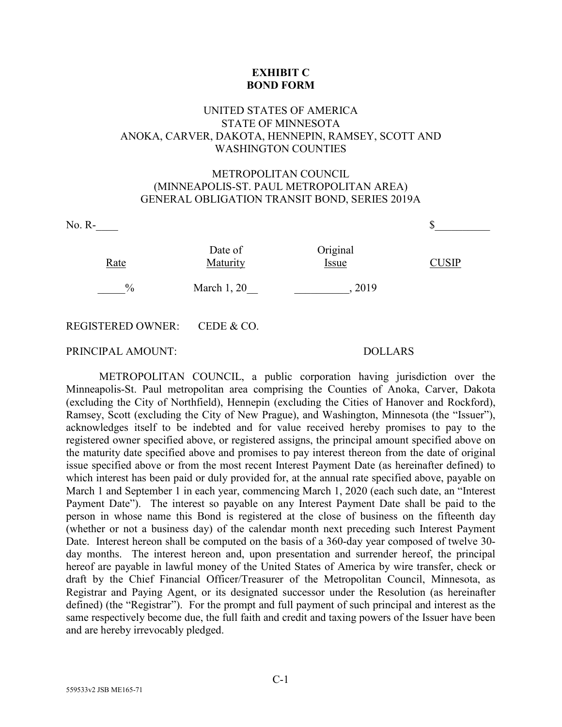# **EXHIBIT C BOND FORM**

# UNITED STATES OF AMERICA STATE OF MINNESOTA ANOKA, CARVER, DAKOTA, HENNEPIN, RAMSEY, SCOTT AND WASHINGTON COUNTIES

# METROPOLITAN COUNCIL (MINNEAPOLIS-ST. PAUL METROPOLITAN AREA) GENERAL OBLIGATION TRANSIT BOND, SERIES 2019A

| $No. R-$                 |                     |                   |              |  |
|--------------------------|---------------------|-------------------|--------------|--|
| Rate                     | Date of<br>Maturity | Original<br>Issue | <b>CUSIP</b> |  |
| $\frac{0}{0}$            | March $1, 20$       | 2019              |              |  |
| <b>REGISTERED OWNER:</b> | CEDE & CO.          |                   |              |  |

## PRINCIPAL AMOUNT: DOLLARS

METROPOLITAN COUNCIL, a public corporation having jurisdiction over the Minneapolis-St. Paul metropolitan area comprising the Counties of Anoka, Carver, Dakota (excluding the City of Northfield), Hennepin (excluding the Cities of Hanover and Rockford), Ramsey, Scott (excluding the City of New Prague), and Washington, Minnesota (the "Issuer"), acknowledges itself to be indebted and for value received hereby promises to pay to the registered owner specified above, or registered assigns, the principal amount specified above on the maturity date specified above and promises to pay interest thereon from the date of original issue specified above or from the most recent Interest Payment Date (as hereinafter defined) to which interest has been paid or duly provided for, at the annual rate specified above, payable on March 1 and September 1 in each year, commencing March 1, 2020 (each such date, an "Interest Payment Date"). The interest so payable on any Interest Payment Date shall be paid to the person in whose name this Bond is registered at the close of business on the fifteenth day (whether or not a business day) of the calendar month next preceding such Interest Payment Date. Interest hereon shall be computed on the basis of a 360-day year composed of twelve 30 day months. The interest hereon and, upon presentation and surrender hereof, the principal hereof are payable in lawful money of the United States of America by wire transfer, check or draft by the Chief Financial Officer/Treasurer of the Metropolitan Council, Minnesota, as Registrar and Paying Agent, or its designated successor under the Resolution (as hereinafter defined) (the "Registrar"). For the prompt and full payment of such principal and interest as the same respectively become due, the full faith and credit and taxing powers of the Issuer have been and are hereby irrevocably pledged.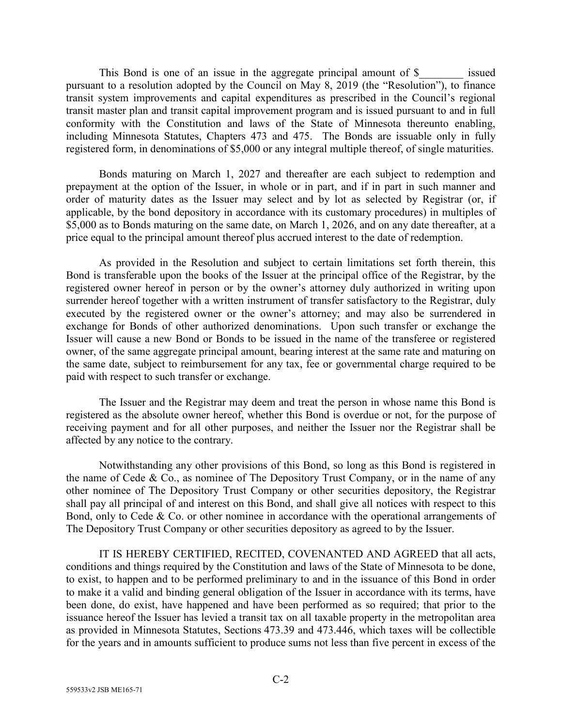This Bond is one of an issue in the aggregate principal amount of \$\_\_\_\_\_\_\_\_ issued pursuant to a resolution adopted by the Council on May 8, 2019 (the "Resolution"), to finance transit system improvements and capital expenditures as prescribed in the Council's regional transit master plan and transit capital improvement program and is issued pursuant to and in full conformity with the Constitution and laws of the State of Minnesota thereunto enabling, including Minnesota Statutes, Chapters 473 and 475. The Bonds are issuable only in fully registered form, in denominations of \$5,000 or any integral multiple thereof, of single maturities.

Bonds maturing on March 1, 2027 and thereafter are each subject to redemption and prepayment at the option of the Issuer, in whole or in part, and if in part in such manner and order of maturity dates as the Issuer may select and by lot as selected by Registrar (or, if applicable, by the bond depository in accordance with its customary procedures) in multiples of \$5,000 as to Bonds maturing on the same date, on March 1, 2026, and on any date thereafter, at a price equal to the principal amount thereof plus accrued interest to the date of redemption.

As provided in the Resolution and subject to certain limitations set forth therein, this Bond is transferable upon the books of the Issuer at the principal office of the Registrar, by the registered owner hereof in person or by the owner's attorney duly authorized in writing upon surrender hereof together with a written instrument of transfer satisfactory to the Registrar, duly executed by the registered owner or the owner's attorney; and may also be surrendered in exchange for Bonds of other authorized denominations. Upon such transfer or exchange the Issuer will cause a new Bond or Bonds to be issued in the name of the transferee or registered owner, of the same aggregate principal amount, bearing interest at the same rate and maturing on the same date, subject to reimbursement for any tax, fee or governmental charge required to be paid with respect to such transfer or exchange.

The Issuer and the Registrar may deem and treat the person in whose name this Bond is registered as the absolute owner hereof, whether this Bond is overdue or not, for the purpose of receiving payment and for all other purposes, and neither the Issuer nor the Registrar shall be affected by any notice to the contrary.

Notwithstanding any other provisions of this Bond, so long as this Bond is registered in the name of Cede & Co., as nominee of The Depository Trust Company, or in the name of any other nominee of The Depository Trust Company or other securities depository, the Registrar shall pay all principal of and interest on this Bond, and shall give all notices with respect to this Bond, only to Cede & Co. or other nominee in accordance with the operational arrangements of The Depository Trust Company or other securities depository as agreed to by the Issuer.

IT IS HEREBY CERTIFIED, RECITED, COVENANTED AND AGREED that all acts, conditions and things required by the Constitution and laws of the State of Minnesota to be done, to exist, to happen and to be performed preliminary to and in the issuance of this Bond in order to make it a valid and binding general obligation of the Issuer in accordance with its terms, have been done, do exist, have happened and have been performed as so required; that prior to the issuance hereof the Issuer has levied a transit tax on all taxable property in the metropolitan area as provided in Minnesota Statutes, Sections 473.39 and 473.446, which taxes will be collectible for the years and in amounts sufficient to produce sums not less than five percent in excess of the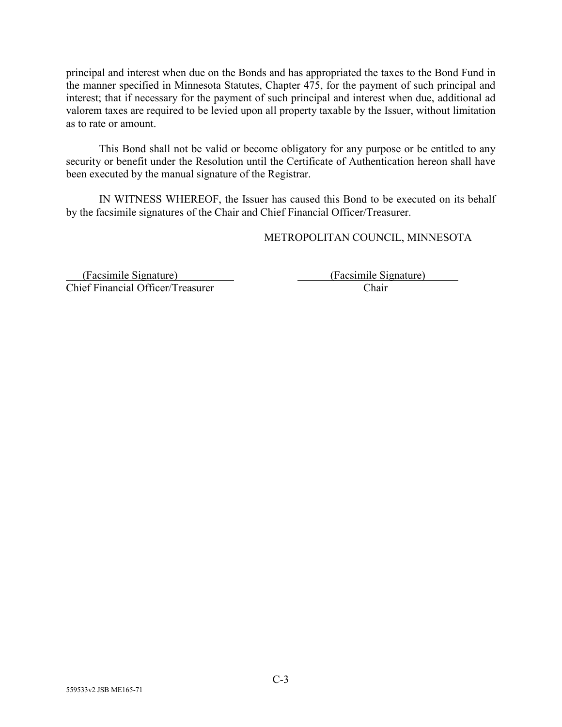principal and interest when due on the Bonds and has appropriated the taxes to the Bond Fund in the manner specified in Minnesota Statutes, Chapter 475, for the payment of such principal and interest; that if necessary for the payment of such principal and interest when due, additional ad valorem taxes are required to be levied upon all property taxable by the Issuer, without limitation as to rate or amount.

This Bond shall not be valid or become obligatory for any purpose or be entitled to any security or benefit under the Resolution until the Certificate of Authentication hereon shall have been executed by the manual signature of the Registrar.

IN WITNESS WHEREOF, the Issuer has caused this Bond to be executed on its behalf by the facsimile signatures of the Chair and Chief Financial Officer/Treasurer.

METROPOLITAN COUNCIL, MINNESOTA

 (Facsimile Signature) (Facsimile Signature) Chief Financial Officer/Treasurer Chair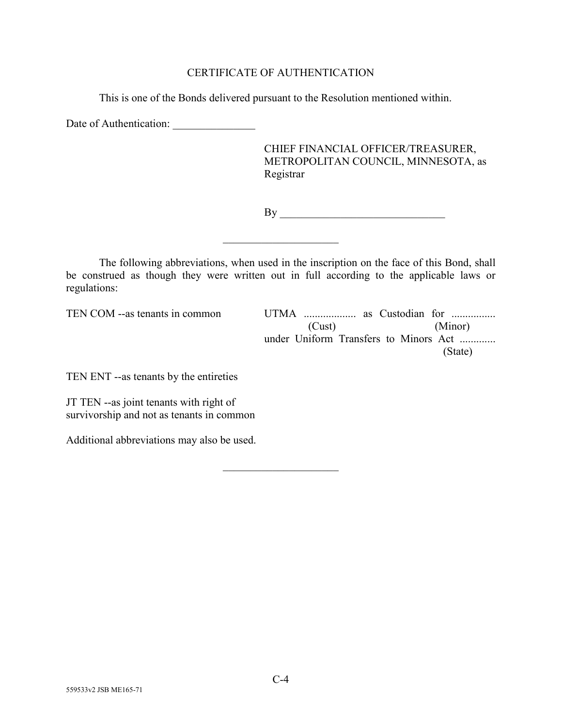# CERTIFICATE OF AUTHENTICATION

This is one of the Bonds delivered pursuant to the Resolution mentioned within.

Date of Authentication: \_\_\_\_\_\_\_\_\_\_\_\_\_\_\_

CHIEF FINANCIAL OFFICER/TREASURER, METROPOLITAN COUNCIL, MINNESOTA, as Registrar

By \_\_\_\_\_\_\_\_\_\_\_\_\_\_\_\_\_\_\_\_\_\_\_\_\_\_\_\_\_\_

The following abbreviations, when used in the inscription on the face of this Bond, shall be construed as though they were written out in full according to the applicable laws or regulations:

 $\overline{\phantom{a}}$  , which is a set of the set of the set of the set of the set of the set of the set of the set of the set of the set of the set of the set of the set of the set of the set of the set of the set of the set of th

 $\overline{\phantom{a}}$  , which is a set of the set of the set of the set of the set of the set of the set of the set of the set of the set of the set of the set of the set of the set of the set of the set of the set of the set of th

TEN COM --as tenants in common UTMA ................... as Custodian for ................ (Cust) (Minor) under Uniform Transfers to Minors Act ............. (State)

TEN ENT --as tenants by the entireties

JT TEN --as joint tenants with right of survivorship and not as tenants in common

Additional abbreviations may also be used.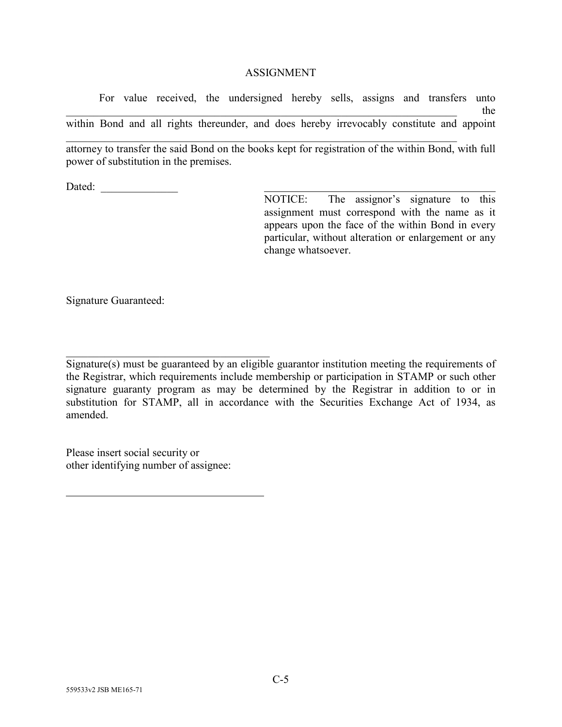## **ASSIGNMENT**

For value received, the undersigned hereby sells, assigns and transfers unto  $\mathbf{H}$  the set of the set of the set of the set of the set of the set of the set of the set of the set of the set of the set of the set of the set of the set of the set of the set of the set of the set of the set of the within Bond and all rights thereunder, and does hereby irrevocably constitute and appoint

\_\_\_\_\_\_\_\_\_\_\_\_\_\_\_\_\_\_\_\_\_\_\_\_\_\_\_\_\_\_\_\_\_\_\_\_\_\_\_\_\_\_\_\_\_\_\_\_\_\_\_\_\_\_\_\_\_\_\_\_\_\_\_\_\_\_\_\_\_\_\_ attorney to transfer the said Bond on the books kept for registration of the within Bond, with full power of substitution in the premises.

Dated:

NOTICE: The assignor's signature to this assignment must correspond with the name as it appears upon the face of the within Bond in every particular, without alteration or enlargement or any change whatsoever.

Signature Guaranteed:

\_\_\_\_\_\_\_\_\_\_\_\_\_\_\_\_\_\_\_\_\_\_\_\_\_\_\_\_\_\_\_\_\_\_\_\_\_ Signature(s) must be guaranteed by an eligible guarantor institution meeting the requirements of the Registrar, which requirements include membership or participation in STAMP or such other signature guaranty program as may be determined by the Registrar in addition to or in substitution for STAMP, all in accordance with the Securities Exchange Act of 1934, as amended.

Please insert social security or other identifying number of assignee: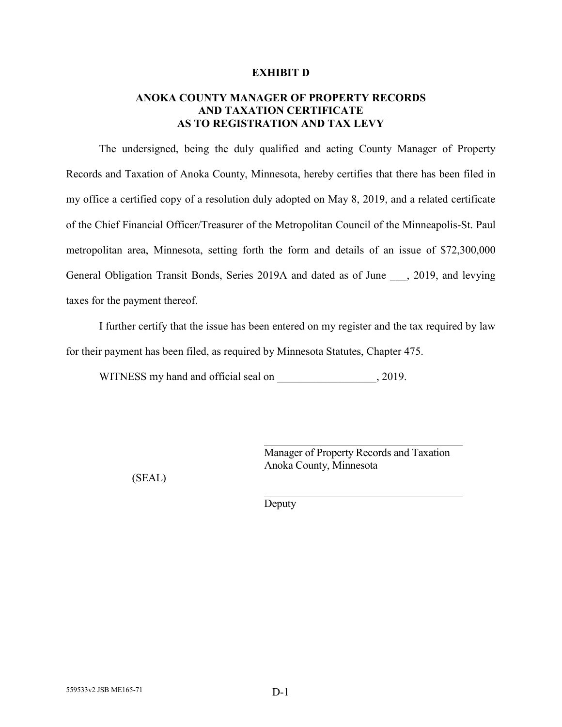## **EXHIBIT D**

# **ANOKA COUNTY MANAGER OF PROPERTY RECORDS AND TAXATION CERTIFICATE AS TO REGISTRATION AND TAX LEVY**

The undersigned, being the duly qualified and acting County Manager of Property Records and Taxation of Anoka County, Minnesota, hereby certifies that there has been filed in my office a certified copy of a resolution duly adopted on May 8, 2019, and a related certificate of the Chief Financial Officer/Treasurer of the Metropolitan Council of the Minneapolis-St. Paul metropolitan area, Minnesota, setting forth the form and details of an issue of \$72,300,000 General Obligation Transit Bonds, Series 2019A and dated as of June , 2019, and levying taxes for the payment thereof.

I further certify that the issue has been entered on my register and the tax required by law for their payment has been filed, as required by Minnesota Statutes, Chapter 475.

WITNESS my hand and official seal on  $, 2019$ .

Manager of Property Records and Taxation Anoka County, Minnesota

(SEAL)

Deputy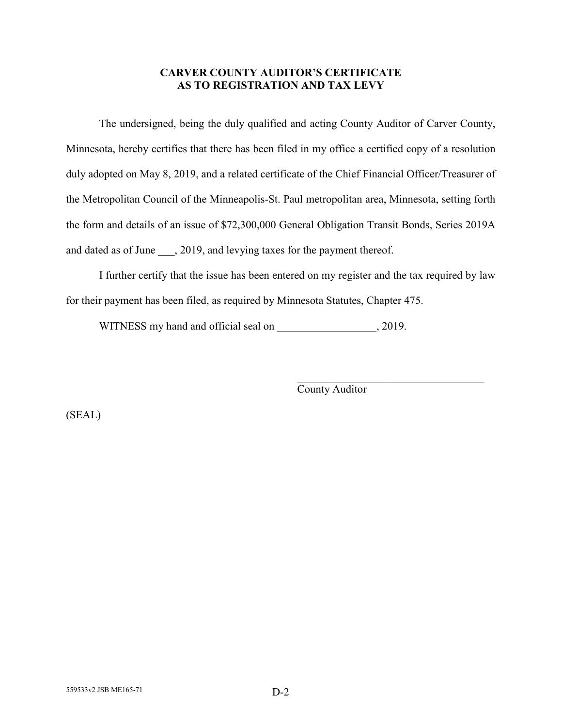# **CARVER COUNTY AUDITOR'S CERTIFICATE AS TO REGISTRATION AND TAX LEVY**

The undersigned, being the duly qualified and acting County Auditor of Carver County, Minnesota, hereby certifies that there has been filed in my office a certified copy of a resolution duly adopted on May 8, 2019, and a related certificate of the Chief Financial Officer/Treasurer of the Metropolitan Council of the Minneapolis-St. Paul metropolitan area, Minnesota, setting forth the form and details of an issue of \$72,300,000 General Obligation Transit Bonds, Series 2019A and dated as of June, 2019, and levying taxes for the payment thereof.

I further certify that the issue has been entered on my register and the tax required by law for their payment has been filed, as required by Minnesota Statutes, Chapter 475.

WITNESS my hand and official seal on \_\_\_\_\_\_\_\_\_\_\_\_\_\_\_\_\_, 2019.

County Auditor

 $\mathcal{L}_\mathcal{L}$  , which is a set of the set of the set of the set of the set of the set of the set of the set of the set of the set of the set of the set of the set of the set of the set of the set of the set of the set of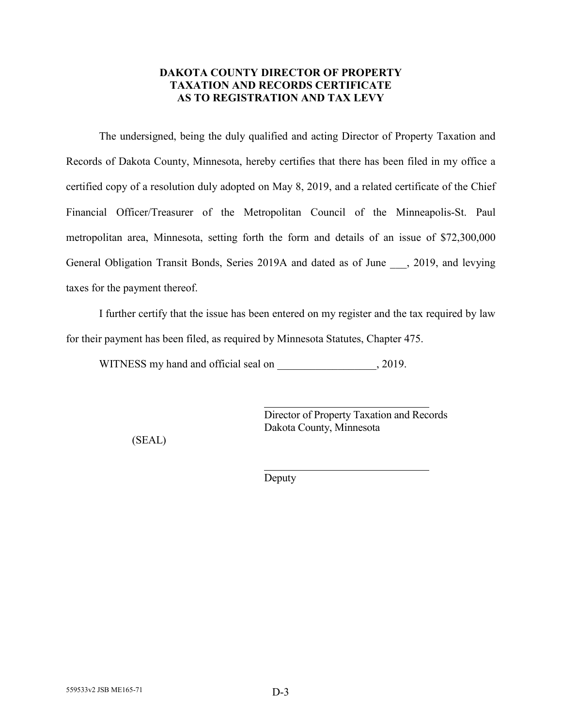# **DAKOTA COUNTY DIRECTOR OF PROPERTY TAXATION AND RECORDS CERTIFICATE AS TO REGISTRATION AND TAX LEVY**

The undersigned, being the duly qualified and acting Director of Property Taxation and Records of Dakota County, Minnesota, hereby certifies that there has been filed in my office a certified copy of a resolution duly adopted on May 8, 2019, and a related certificate of the Chief Financial Officer/Treasurer of the Metropolitan Council of the Minneapolis-St. Paul metropolitan area, Minnesota, setting forth the form and details of an issue of \$72,300,000 General Obligation Transit Bonds, Series 2019A and dated as of June , 2019, and levying taxes for the payment thereof.

I further certify that the issue has been entered on my register and the tax required by law for their payment has been filed, as required by Minnesota Statutes, Chapter 475.

WITNESS my hand and official seal on  $, 2019$ .

Director of Property Taxation and Records Dakota County, Minnesota

(SEAL)

Deputy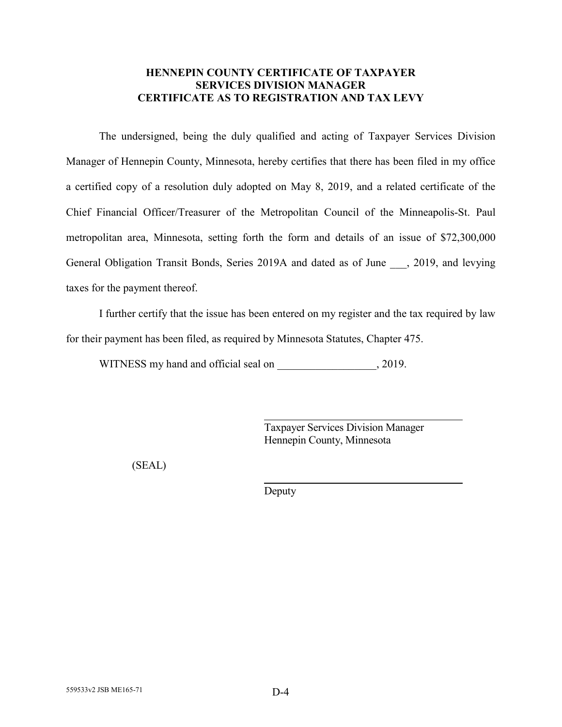# **HENNEPIN COUNTY CERTIFICATE OF TAXPAYER SERVICES DIVISION MANAGER CERTIFICATE AS TO REGISTRATION AND TAX LEVY**

The undersigned, being the duly qualified and acting of Taxpayer Services Division Manager of Hennepin County, Minnesota, hereby certifies that there has been filed in my office a certified copy of a resolution duly adopted on May 8, 2019, and a related certificate of the Chief Financial Officer/Treasurer of the Metropolitan Council of the Minneapolis-St. Paul metropolitan area, Minnesota, setting forth the form and details of an issue of \$72,300,000 General Obligation Transit Bonds, Series 2019A and dated as of June , 2019, and levying taxes for the payment thereof.

I further certify that the issue has been entered on my register and the tax required by law for their payment has been filed, as required by Minnesota Statutes, Chapter 475.

WITNESS my hand and official seal on  $, 2019$ .

Taxpayer Services Division Manager Hennepin County, Minnesota

(SEAL)

Deputy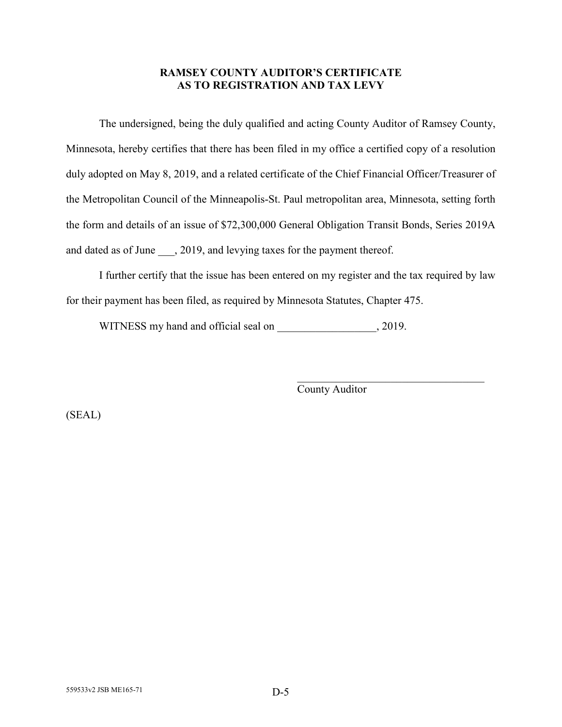# **RAMSEY COUNTY AUDITOR'S CERTIFICATE AS TO REGISTRATION AND TAX LEVY**

The undersigned, being the duly qualified and acting County Auditor of Ramsey County, Minnesota, hereby certifies that there has been filed in my office a certified copy of a resolution duly adopted on May 8, 2019, and a related certificate of the Chief Financial Officer/Treasurer of the Metropolitan Council of the Minneapolis-St. Paul metropolitan area, Minnesota, setting forth the form and details of an issue of \$72,300,000 General Obligation Transit Bonds, Series 2019A and dated as of June, 2019, and levying taxes for the payment thereof.

I further certify that the issue has been entered on my register and the tax required by law for their payment has been filed, as required by Minnesota Statutes, Chapter 475.

WITNESS my hand and official seal on \_\_\_\_\_\_\_\_\_\_\_\_\_\_\_\_\_, 2019.

County Auditor

 $\mathcal{L}_\mathcal{L}$  , which is a set of the set of the set of the set of the set of the set of the set of the set of the set of the set of the set of the set of the set of the set of the set of the set of the set of the set of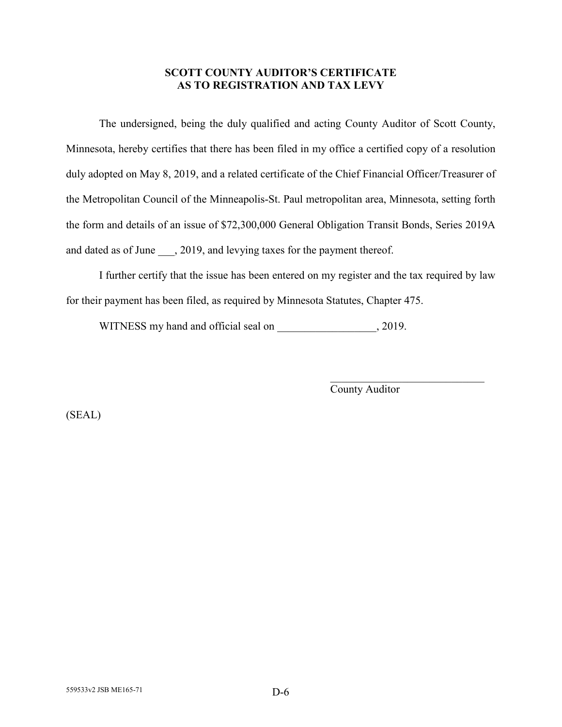# **SCOTT COUNTY AUDITOR'S CERTIFICATE AS TO REGISTRATION AND TAX LEVY**

The undersigned, being the duly qualified and acting County Auditor of Scott County, Minnesota, hereby certifies that there has been filed in my office a certified copy of a resolution duly adopted on May 8, 2019, and a related certificate of the Chief Financial Officer/Treasurer of the Metropolitan Council of the Minneapolis-St. Paul metropolitan area, Minnesota, setting forth the form and details of an issue of \$72,300,000 General Obligation Transit Bonds, Series 2019A and dated as of June, 2019, and levying taxes for the payment thereof.

I further certify that the issue has been entered on my register and the tax required by law for their payment has been filed, as required by Minnesota Statutes, Chapter 475.

WITNESS my hand and official seal on \_\_\_\_\_\_\_\_\_\_\_\_\_\_\_\_\_, 2019.

County Auditor

\_\_\_\_\_\_\_\_\_\_\_\_\_\_\_\_\_\_\_\_\_\_\_\_\_\_\_\_